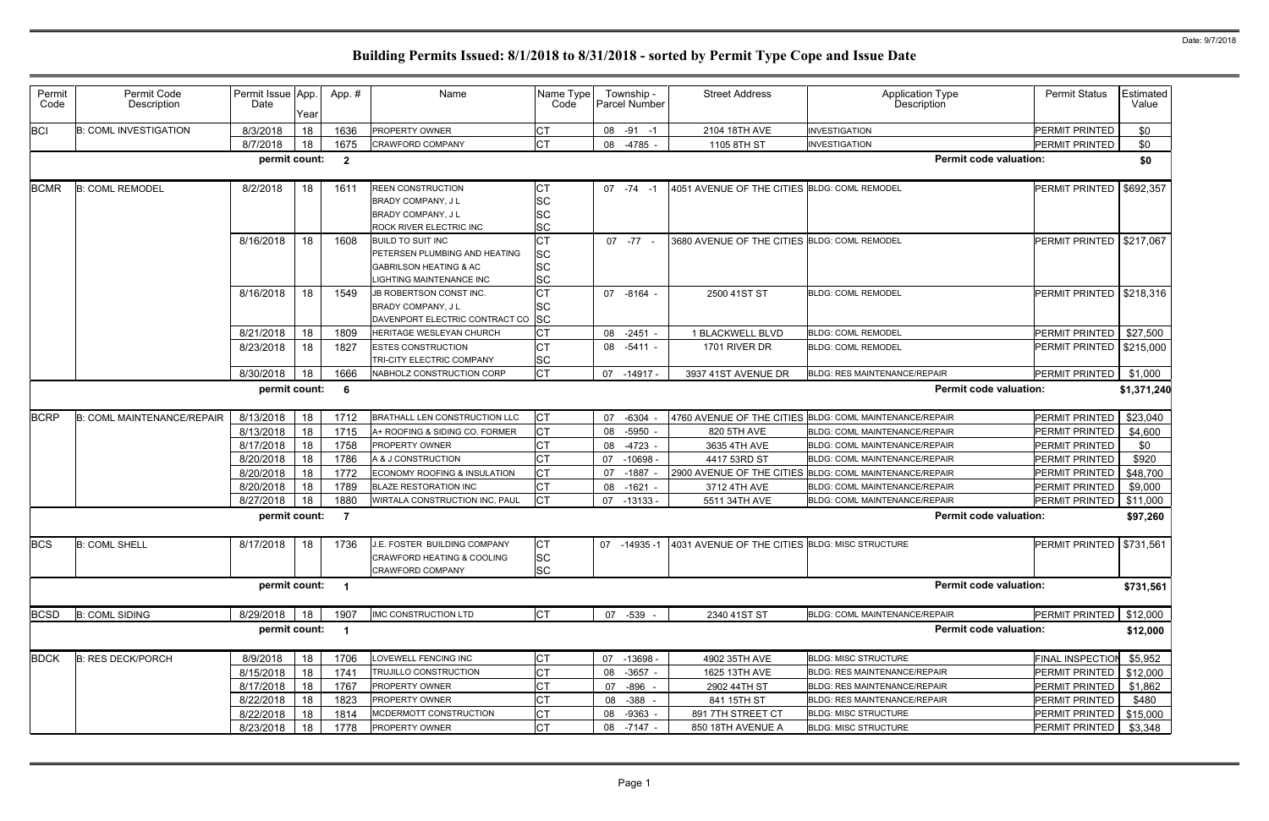| Permit<br>Code | Permit Code<br>Description        | Permit Issue App.<br>Date | Year | App. #                  | Name                                                                                                                              | Name Type<br>Code                   | Township -<br><b>Parcel Number</b> | <b>Street Address</b>                                       | Application Type<br>Description                         | <b>Permit Status</b>       | Estimated<br>Value |
|----------------|-----------------------------------|---------------------------|------|-------------------------|-----------------------------------------------------------------------------------------------------------------------------------|-------------------------------------|------------------------------------|-------------------------------------------------------------|---------------------------------------------------------|----------------------------|--------------------|
| <b>BCI</b>     | <b>B: COML INVESTIGATION</b>      | 8/3/2018                  | 18   | 1636                    | PROPERTY OWNER                                                                                                                    | C <sub>T</sub>                      | 08 -91 -1                          | 2104 18TH AVE                                               | <b>INVESTIGATION</b>                                    | PERMIT PRINTED             | \$0                |
|                |                                   | 8/7/2018                  | 18   | 1675                    | <b>CRAWFORD COMPANY</b>                                                                                                           | <b>CT</b>                           | 08 -4785 -                         | 1105 8TH ST                                                 | <b>INVESTIGATION</b>                                    | PERMIT PRINTED             | \$0                |
|                |                                   | permit count:             |      | $\overline{\mathbf{2}}$ |                                                                                                                                   |                                     |                                    |                                                             | <b>Permit code valuation:</b>                           |                            | \$0                |
| <b>BCMR</b>    | <b>B: COML REMODEL</b>            | 8/2/2018                  | 18   | 1611                    | <b>REEN CONSTRUCTION</b><br><b>BRADY COMPANY, JL</b><br>BRADY COMPANY, J L<br>ROCK RIVER ELECTRIC INC                             | <b>CT</b><br>SC<br>SC<br>SC         | $07 - 74 - 1$                      | 4051 AVENUE OF THE CITIES BLDG: COML REMODEL                |                                                         | PERMIT PRINTED             | \$692,357          |
|                |                                   | 8/16/2018                 | 18   | 1608                    | <b>BUILD TO SUIT INC</b><br>PETERSEN PLUMBING AND HEATING<br><b>GABRILSON HEATING &amp; AC</b><br><b>LIGHTING MAINTENANCE INC</b> | <b>CT</b><br>SC<br>SC<br>SC         | $07 - 77 -$                        | 3680 AVENUE OF THE CITIES BLDG: COML REMODEL                |                                                         | <b>PERMIT PRINTED</b>      | \$217,067          |
|                |                                   | 8/16/2018                 | 18   | 1549                    | JB ROBERTSON CONST INC.<br>BRADY COMPANY, J L<br>DAVENPORT ELECTRIC CONTRACT CO SC                                                | <b>CT</b><br>SC                     | 07 -8164 -                         | 2500 41ST ST                                                | <b>BLDG: COML REMODEL</b>                               | PERMIT PRINTED   \$218,316 |                    |
|                |                                   | 8/21/2018                 | 18   | 1809                    | HERITAGE WESLEYAN CHURCH                                                                                                          | <b>CT</b>                           | $-2451 -$<br>08                    | 1 BLACKWELL BLVD                                            | <b>BLDG: COML REMODEL</b>                               | PERMIT PRINTED             | \$27,500           |
|                |                                   | 8/23/2018                 | 18   | 1827                    | <b>ESTES CONSTRUCTION</b><br>TRI-CITY ELECTRIC COMPANY                                                                            | СT<br><b>SC</b>                     | 08 -5411 -                         | 1701 RIVER DR                                               | <b>BLDG: COML REMODEL</b>                               | PERMIT PRINTED             | \$215,000          |
|                |                                   | 8/30/2018                 | 18   | 1666                    | NABHOLZ CONSTRUCTION CORP                                                                                                         | <b>CT</b>                           | 07 -14917 -                        | 3937 41ST AVENUE DR                                         | <b>BLDG: RES MAINTENANCE/REPAIR</b>                     | PERMIT PRINTED             | \$1,000            |
|                |                                   | permit count:             |      | - 6                     |                                                                                                                                   |                                     |                                    |                                                             | <b>Permit code valuation:</b>                           |                            | \$1,371,240        |
| <b>BCRP</b>    | <b>B: COML MAINTENANCE/REPAIR</b> | 8/13/2018                 | 18   | 1712                    | <b>BRATHALL LEN CONSTRUCTION LLC</b>                                                                                              | <b>CT</b>                           | $-6304$<br>07                      |                                                             | 4760 AVENUE OF THE CITIES BLDG: COML MAINTENANCE/REPAIR | PERMIT PRINTED             | \$23,040           |
|                |                                   | 8/13/2018                 | 18   | 1715                    | A+ ROOFING & SIDING CO. FORMER                                                                                                    | <b>CT</b>                           | $-5950$<br>08                      | 820 5TH AVE                                                 | <b>BLDG: COML MAINTENANCE/REPAIR</b>                    | PERMIT PRINTED             | \$4,600            |
|                |                                   | 8/17/2018                 | 18   | 1758                    | <b>PROPERTY OWNER</b>                                                                                                             | <b>CT</b>                           | $-4723 -$<br>08                    | 3635 4TH AVE                                                | <b>BLDG: COML MAINTENANCE/REPAIR</b>                    | PERMIT PRINTED             | \$0                |
|                |                                   | 8/20/2018                 | 18   | 1786                    | A & J CONSTRUCTION                                                                                                                | <b>CT</b>                           | $-10698 -$<br>07                   | 4417 53RD ST                                                | BLDG: COML MAINTENANCE/REPAIR                           | PERMIT PRINTED             | \$920              |
|                |                                   | 8/20/2018                 | 18   | 1772                    | ECONOMY ROOFING & INSULATION                                                                                                      | <b>CT</b>                           | $-1887$<br>07                      |                                                             | 2900 AVENUE OF THE CITIES BLDG: COML MAINTENANCE/REPAIR | PERMIT PRINTED             | \$48,700           |
|                |                                   | 8/20/2018                 | 18   | 1789                    | <b>BLAZE RESTORATION INC</b>                                                                                                      | <b>CT</b>                           | 08<br>$-1621 -$                    | 3712 4TH AVE                                                | <b>BLDG: COML MAINTENANCE/REPAIR</b>                    | PERMIT PRINTED             | \$9,000            |
|                |                                   | 8/27/2018                 | 18   | 1880                    | WIRTALA CONSTRUCTION INC, PAUL                                                                                                    | <b>CT</b>                           | 07 -13133 -                        | 5511 34TH AVE                                               | BLDG: COML MAINTENANCE/REPAIR                           | PERMIT PRINTED             | \$11,000           |
|                |                                   | permit count:             |      | $\overline{7}$          |                                                                                                                                   |                                     |                                    |                                                             | <b>Permit code valuation:</b>                           |                            | \$97,260           |
| <b>BCS</b>     | <b>B: COML SHELL</b>              | 8/17/2018                 | 18   | 1736                    | J.E. FOSTER BUILDING COMPANY<br>CRAWFORD HEATING & COOLING<br>CRAWFORD COMPANY                                                    | <b>CT</b><br><b>SC</b><br><b>SC</b> |                                    | 07 -14935 -1 4031 AVENUE OF THE CITIES BLDG: MISC STRUCTURE |                                                         | PERMIT PRINTED   \$731,561 |                    |
|                |                                   | permit count: 1           |      |                         |                                                                                                                                   |                                     |                                    |                                                             | <b>Permit code valuation:</b>                           |                            | \$731,561          |
| <b>BCSD</b>    | <b>B: COML SIDING</b>             | 8/29/2018                 | 18   | 1907                    | <b>IMC CONSTRUCTION LTD</b>                                                                                                       | <b>CT</b>                           | 07 -539 -                          | 2340 41ST ST                                                | BLDG: COML MAINTENANCE/REPAIR                           | PERMIT PRINTED             | \$12,000           |
|                |                                   | permit count:             |      | $\blacksquare$          |                                                                                                                                   |                                     |                                    |                                                             | <b>Permit code valuation:</b>                           |                            | \$12,000           |
| <b>BDCK</b>    | <b>B: RES DECK/PORCH</b>          | 8/9/2018                  | 18   | 1706                    | LOVEWELL FENCING INC                                                                                                              | <b>CT</b>                           | 07 -13698 -                        | 4902 35TH AVE                                               | <b>BLDG: MISC STRUCTURE</b>                             | <b>FINAL INSPECTION</b>    | \$5,952            |
|                |                                   | 8/15/2018                 | 18   | 1741                    | <b>TRUJILLO CONSTRUCTION</b>                                                                                                      | <b>CT</b>                           | 08 -3657 -                         | 1625 13TH AVE                                               | BLDG: RES MAINTENANCE/REPAIR                            | PERMIT PRINTED             | \$12,000           |
|                |                                   | 8/17/2018                 | 18   | 1767                    | PROPERTY OWNER                                                                                                                    | <b>CT</b>                           | $-896 -$<br>07                     | 2902 44TH ST                                                | <b>BLDG: RES MAINTENANCE/REPAIR</b>                     | PERMIT PRINTED             | \$1,862            |
|                |                                   | 8/22/2018                 | 18   | 1823                    | PROPERTY OWNER                                                                                                                    | <b>CT</b>                           | 08 - 388 -                         | 841 15TH ST                                                 | <b>BLDG: RES MAINTENANCE/REPAIR</b>                     | PERMIT PRINTED             | \$480              |
|                |                                   | 8/22/2018                 | 18   | 1814                    | MCDERMOTT CONSTRUCTION                                                                                                            | <b>CT</b>                           | 08 -9363 -                         | 891 7TH STREET CT                                           | <b>BLDG: MISC STRUCTURE</b>                             | PERMIT PRINTED             | \$15,000           |
|                |                                   | 8/23/2018                 | 18   | 1778                    | PROPERTY OWNER                                                                                                                    | <b>CT</b>                           | 08 -7147 -                         | 850 18TH AVENUE A                                           | <b>BLDG: MISC STRUCTURE</b>                             | PERMIT PRINTED             | \$3,348            |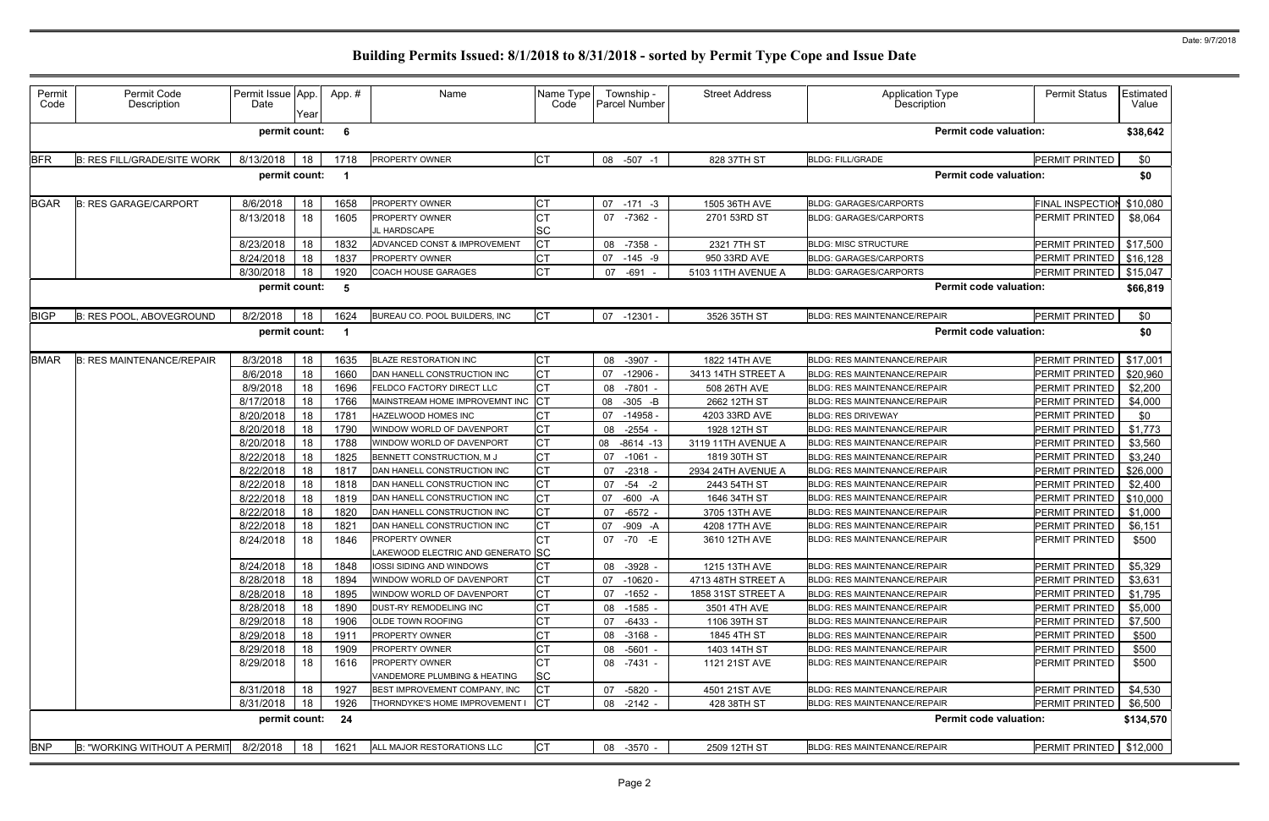| Permit<br>Code | Permit Code<br>Description         | Permit Issue App.<br>Date | Year | App.#                   | Name                                                | Name Type<br>Code | Township -<br>Parcel Number | <b>Street Address</b> | <b>Application Type</b><br><b>Description</b> | <b>Permit Status</b>      | Estimated<br>Value |
|----------------|------------------------------------|---------------------------|------|-------------------------|-----------------------------------------------------|-------------------|-----------------------------|-----------------------|-----------------------------------------------|---------------------------|--------------------|
|                |                                    | permit count:             |      | - 6                     |                                                     |                   |                             |                       | <b>Permit code valuation:</b>                 |                           | \$38,642           |
| <b>BFR</b>     | <b>B: RES FILL/GRADE/SITE WORK</b> | 8/13/2018                 | 18   | 1718                    | PROPERTY OWNER                                      | <b>CT</b>         | 08 -507<br>$-1$             | 828 37TH ST           | <b>BLDG: FILL/GRADE</b>                       | PERMIT PRINTED            | \$0                |
|                |                                    | permit count:             |      | $\blacksquare$          |                                                     |                   |                             |                       | <b>Permit code valuation:</b>                 |                           | \$0                |
| <b>BGAR</b>    | <b>B: RES GARAGE/CARPORT</b>       | 8/6/2018                  | 18   | 1658                    | PROPERTY OWNER                                      |                   | $07 - 171 - 3$              | 1505 36TH AVE         | <b>BLDG: GARAGES/CARPORTS</b>                 | FINAL INSPECTION          | \$10,080           |
|                |                                    | 8/13/2018                 | 18   | 1605                    | PROPERTY OWNER                                      | <b>CT</b>         | $-7362$ -<br>07             | 2701 53RD ST          | <b>BLDG: GARAGES/CARPORTS</b>                 | PERMIT PRINTED            | \$8,064            |
|                |                                    |                           |      |                         | L HARDSCAPE                                         | <b>SC</b>         |                             |                       |                                               |                           |                    |
|                |                                    | 8/23/2018                 | 18   | 1832                    | ADVANCED CONST & IMPROVEMENT                        | Iст               | 08<br>$-7358$               | 2321 7TH ST           | <b>BLDG: MISC STRUCTURE</b>                   | PERMIT PRINTED            | \$17,500           |
|                |                                    | 8/24/2018                 | 18   | 1837                    | PROPERTY OWNER                                      | C <sub>T</sub>    | $-145 - 9$<br>07            | 950 33RD AVE          | <b>BLDG: GARAGES/CARPORTS</b>                 | PERMIT PRINTED            | \$16,128           |
|                |                                    | 8/30/2018                 | 18   | 1920                    | COACH HOUSE GARAGES                                 | Iст               | $-691$<br>07                | 5103 11TH AVENUE A    | <b>BLDG: GARAGES/CARPORTS</b>                 | PERMIT PRINTED            | \$15,047           |
|                |                                    | permit count:             |      | 5                       |                                                     |                   |                             |                       | <b>Permit code valuation:</b>                 |                           | \$66,819           |
| <b>BIGP</b>    | <b>B: RES POOL, ABOVEGROUND</b>    | 8/2/2018                  | 18   | 1624                    | BUREAU CO. POOL BUILDERS, INC                       | <b>CT</b>         | 07 -12301 -                 | 3526 35TH ST          | <b>BLDG: RES MAINTENANCE/REPAIR</b>           | PERMIT PRINTED            | \$0                |
|                |                                    | permit count:             |      | $\overline{\mathbf{1}}$ |                                                     |                   |                             |                       | <b>Permit code valuation:</b>                 |                           | \$0                |
| <b>BMAR</b>    | <b>B: RES MAINTENANCE/REPAIR</b>   | 8/3/2018                  | 18   | 1635                    | <b>BLAZE RESTORATION INC</b>                        | <b>CT</b>         | 08<br>$-3907 -$             | 1822 14TH AVE         | <b>BLDG: RES MAINTENANCE/REPAIR</b>           | PERMIT PRINTED            | \$17,001           |
|                |                                    | 8/6/2018                  | 18   | 1660                    | DAN HANELL CONSTRUCTION INC                         | Iст               | $-12906$<br>07              | 3413 14TH STREET A    | <b>BLDG: RES MAINTENANCE/REPAIR</b>           | PERMIT PRINTED            | \$20,960           |
|                |                                    | 8/9/2018                  | 18   | 1696                    | FELDCO FACTORY DIRECT LLC                           | <b>CT</b>         | 08<br>$-7801$               | 508 26TH AVE          | <b>BLDG: RES MAINTENANCE/REPAIR</b>           | PERMIT PRINTED            | \$2,200            |
|                |                                    | 8/17/2018                 | 18   | 1766                    | MAINSTREAM HOME IMPROVEMNT INC CT                   |                   | 08<br>$-305 - B$            | 2662 12TH ST          | <b>BLDG: RES MAINTENANCE/REPAIR</b>           | PERMIT PRINTED            | \$4,000            |
|                |                                    | 8/20/2018                 | 18   | 1781                    | HAZELWOOD HOMES INC                                 |                   | $-14958$<br>07              | 4203 33RD AVE         | <b>BLDG: RES DRIVEWAY</b>                     | PERMIT PRINTED            | \$0                |
|                |                                    | 8/20/2018                 | 18   | 1790                    | WINDOW WORLD OF DAVENPORT                           |                   | $-2554$<br>08               | 1928 12TH ST          | <b>BLDG: RES MAINTENANCE/REPAIR</b>           | PERMIT PRINTED            | \$1,773            |
|                |                                    | 8/20/2018                 | 18   | 1788                    | WINDOW WORLD OF DAVENPORT                           | <b>CT</b>         | 08<br>$-8614 - 13$          | 3119 11TH AVENUE A    | <b>BLDG: RES MAINTENANCE/REPAIR</b>           | PERMIT PRINTED            | \$3,560            |
|                |                                    | 8/22/2018                 | 18   | 1825                    | BENNETT CONSTRUCTION, M J                           | СT                | $-1061$<br>07               | 1819 30TH ST          | <b>BLDG: RES MAINTENANCE/REPAIR</b>           | PERMIT PRINTED            | \$3,240            |
|                |                                    | 8/22/2018                 | 18   | 1817                    | DAN HANELL CONSTRUCTION INC                         | <b>CT</b>         | 07<br>$-2318 -$             | 2934 24TH AVENUE A    | <b>BLDG: RES MAINTENANCE/REPAIR</b>           | PERMIT PRINTED            | \$26,000           |
|                |                                    | 8/22/2018                 | 18   | 1818                    | DAN HANELL CONSTRUCTION INC                         | <b>CT</b>         | 07<br>$-54 -2$              | 2443 54TH ST          | <b>BLDG: RES MAINTENANCE/REPAIR</b>           | PERMIT PRINTED            | \$2,400            |
|                |                                    | 8/22/2018                 | 18   | 1819                    | DAN HANELL CONSTRUCTION INC                         | C <sub>T</sub>    | 07<br>-600 -A               | 1646 34TH ST          | <b>BLDG: RES MAINTENANCE/REPAIR</b>           | PERMIT PRINTED            | \$10,000           |
|                |                                    | 8/22/2018                 | 18   | 1820                    | DAN HANELL CONSTRUCTION INC                         | <b>CT</b>         | 07<br>$-6572$               | 3705 13TH AVE         | <b>BLDG: RES MAINTENANCE/REPAIR</b>           | PERMIT PRINTED            | \$1,000            |
|                |                                    | 8/22/2018                 | 18   | 1821                    | DAN HANELL CONSTRUCTION INC                         | C <sub>T</sub>    | 07<br>-909 -A               | 4208 17TH AVE         | <b>BLDG: RES MAINTENANCE/REPAIR</b>           | PERMIT PRINTED            | \$6,151            |
|                |                                    | 8/24/2018                 | 18   | 1846                    | PROPERTY OWNER<br>LAKEWOOD ELECTRIC AND GENERATO SC | <b>CT</b>         | -70 -E<br>07                | 3610 12TH AVE         | <b>BLDG: RES MAINTENANCE/REPAIR</b>           | PERMIT PRINTED            | \$500              |
|                |                                    | 8/24/2018                 | 18   | 1848                    | <b>IOSSI SIDING AND WINDOWS</b>                     | <b>CT</b>         | $-3928$ -<br>08             | 1215 13TH AVE         | <b>BLDG: RES MAINTENANCE/REPAIR</b>           | PERMIT PRINTED            | \$5,329            |
|                |                                    | 8/28/2018                 | 18   | 1894                    | WINDOW WORLD OF DAVENPORT                           | <b>CT</b>         | 07<br>$-10620 -$            | 4713 48TH STREET A    | <b>BLDG: RES MAINTENANCE/REPAIR</b>           | PERMIT PRINTED            | \$3,631            |
|                |                                    | 8/28/2018                 | 18   | 1895                    | WINDOW WORLD OF DAVENPORT                           | <b>CT</b>         | 07<br>$-1652 -$             | 1858 31ST STREET A    | <b>BLDG: RES MAINTENANCE/REPAIR</b>           | PERMIT PRINTED            | \$1,795            |
|                |                                    | 8/28/2018                 | 18   | 1890                    | DUST-RY REMODELING INC                              |                   | 08<br>-1585 -               | 3501 4TH AVE          | <b>BLDG: RES MAINTENANCE/REPAIR</b>           | PERMIT PRINTED            | \$5,000            |
|                |                                    | 8/29/2018                 | 18   | 1906                    | OLDE TOWN ROOFING                                   | СT                | $-6433 -$<br>07             | 1106 39TH ST          | <b>BLDG: RES MAINTENANCE/REPAIR</b>           | PERMIT PRINTED            | \$7,500            |
|                |                                    | 8/29/2018                 | 18   | 1911                    | PROPERTY OWNER                                      |                   | 08<br>$-3168$ -             | 1845 4TH ST           | <b>BLDG: RES MAINTENANCE/REPAIR</b>           | PERMIT PRINTED            | \$500              |
|                |                                    | 8/29/2018                 | 18   | 1909                    | PROPERTY OWNER                                      |                   | 08<br>$-5601 -$             | 1403 14TH ST          | <b>BLDG: RES MAINTENANCE/REPAIR</b>           | PERMIT PRINTED            | \$500              |
|                |                                    | 8/29/2018                 | 18   | 1616                    | PROPERTY OWNER<br>VANDEMORE PLUMBING & HEATING      | Iст<br><b>SC</b>  | 08 -7431 -                  | 1121 21ST AVE         | <b>BLDG: RES MAINTENANCE/REPAIR</b>           | PERMIT PRINTED            | \$500              |
|                |                                    | 8/31/2018                 | 18   | 1927                    | BEST IMPROVEMENT COMPANY, INC                       | Iст               | $-5820 -$<br>07             | 4501 21ST AVE         | <b>BLDG: RES MAINTENANCE/REPAIR</b>           | PERMIT PRINTED            | \$4,530            |
|                |                                    | 8/31/2018                 | 18   | 1926                    | THORNDYKE'S HOME IMPROVEMENT I                      | <b>ICT</b>        | 08<br>$-2142 -$             | 428 38TH ST           | BLDG: RES MAINTENANCE/REPAIR                  | <b>PERMIT PRINTED</b>     | \$6,500            |
|                |                                    | permit count:             |      | 24                      |                                                     |                   |                             |                       | <b>Permit code valuation:</b>                 |                           | \$134,570          |
| <b>BNP</b>     | B: "WORKING WITHOUT A PERMIT       | 8/2/2018                  | 18   | 1621                    | ALL MAJOR RESTORATIONS LLC                          | Iст               | 08 -3570 -                  | 2509 12TH ST          | <b>BLDG: RES MAINTENANCE/REPAIR</b>           | $PERMIT PRINIED$ \$12,000 |                    |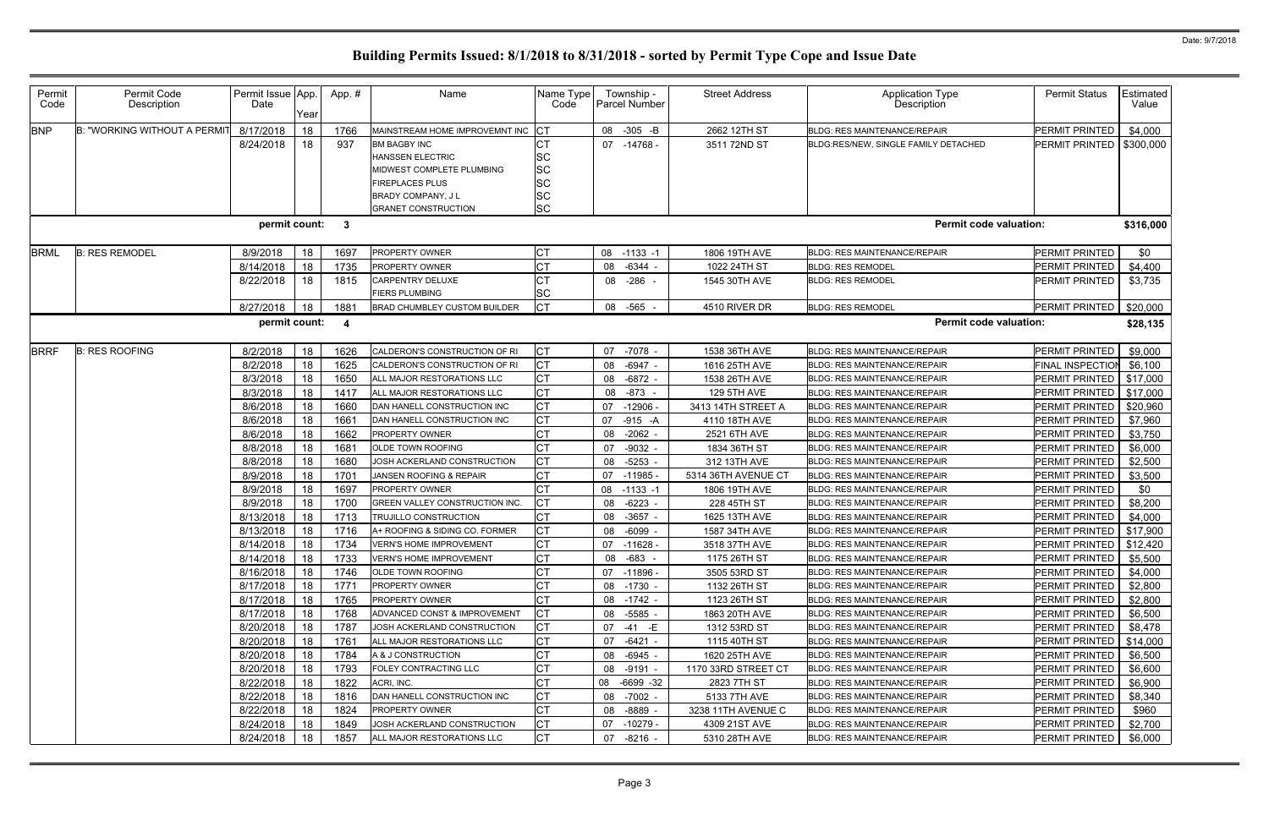| Permit<br>Code | Permit Code<br>Description   | Permit Issue App.<br>Date | Year     | App.#                   | Name                                                                                                                                               | Name Type<br>Code                                                    | Township -<br><b>Parcel Number</b> | <b>Street Address</b>        | <b>Application Type</b><br><b>Description</b>                              | <b>Permit Status</b>             | <b>Estimated</b><br>Value |
|----------------|------------------------------|---------------------------|----------|-------------------------|----------------------------------------------------------------------------------------------------------------------------------------------------|----------------------------------------------------------------------|------------------------------------|------------------------------|----------------------------------------------------------------------------|----------------------------------|---------------------------|
| <b>BNP</b>     | B: "WORKING WITHOUT A PERMIT | 8/17/2018                 | 18       | 1766                    | MAINSTREAM HOME IMPROVEMNT INC CT                                                                                                                  |                                                                      | 08 -305 -B                         | 2662 12TH ST                 | <b>BLDG: RES MAINTENANCE/REPAIR</b>                                        | PERMIT PRINTED                   | \$4,000                   |
|                |                              | 8/24/2018                 | 18       | 937                     | <b>BM BAGBY INC</b><br><b>HANSSEN ELECTRIC</b><br>MIDWEST COMPLETE PLUMBING<br>FIREPLACES PLUS<br>BRADY COMPANY, J L<br><b>GRANET CONSTRUCTION</b> | Iст<br><b>SC</b><br><b>SC</b><br><b>SC</b><br><b>SC</b><br><b>SC</b> | 07 -14768 -                        | 3511 72ND ST                 | BLDG:RES/NEW, SINGLE FAMILY DETACHED                                       | PERMIT PRINTED                   | \$300,000                 |
|                |                              | permit count: 3           |          |                         |                                                                                                                                                    |                                                                      |                                    |                              | <b>Permit code valuation:</b>                                              |                                  | \$316,000                 |
| <b>BRML</b>    | <b>B: RES REMODEL</b>        | 8/9/2018                  | 18       | 1697                    | PROPERTY OWNER                                                                                                                                     | <b>CT</b>                                                            | 08 -1133 -1                        | 1806 19TH AVE                | <b>BLDG: RES MAINTENANCE/REPAIR</b>                                        | PERMIT PRINTED                   | \$0                       |
|                |                              | 8/14/2018                 | 18       | 1735                    | <b>PROPERTY OWNER</b>                                                                                                                              | Iст                                                                  | 08<br>$-6344$ .                    | 1022 24TH ST                 | <b>BLDG: RES REMODEL</b>                                                   | PERMIT PRINTED                   | \$4,400                   |
|                |                              | 8/22/2018                 | 18       | 1815                    | CARPENTRY DELUXE<br><b>FIERS PLUMBING</b>                                                                                                          | IСТ<br><b>SC</b>                                                     | 08 -286 -                          | 1545 30TH AVE                | <b>BLDG: RES REMODEL</b>                                                   | PERMIT PRINTED                   | \$3,735                   |
|                |                              | 8/27/2018                 | 18       | 1881                    | <b>BRAD CHUMBLEY CUSTOM BUILDER</b>                                                                                                                | <b>CT</b>                                                            | 08 -565                            | 4510 RIVER DR                | <b>BLDG: RES REMODEL</b>                                                   | PERMIT PRINTED                   | \$20,000                  |
|                |                              | permit count:             |          | $\overline{\mathbf{4}}$ |                                                                                                                                                    |                                                                      |                                    |                              | <b>Permit code valuation:</b>                                              |                                  | \$28,135                  |
| <b>BRRF</b>    | <b>B: RES ROOFING</b>        | 8/2/2018                  | 18       | 1626                    | CALDERON'S CONSTRUCTION OF RI                                                                                                                      | <b>CT</b>                                                            | 07<br>-7078 -                      | 1538 36TH AVE                | <b>BLDG: RES MAINTENANCE/REPAIR</b>                                        | PERMIT PRINTED                   | \$9,000                   |
|                |                              | 8/2/2018                  | 18       | 1625                    | CALDERON'S CONSTRUCTION OF RI                                                                                                                      | <b>CT</b>                                                            | $-6947 -$<br>08                    | 1616 25TH AVE                | <b>BLDG: RES MAINTENANCE/REPAIR</b>                                        | <b>FINAL INSPECTION</b>          | \$6,100                   |
|                |                              | 8/3/2018                  | 18       | 1650                    | ALL MAJOR RESTORATIONS LLC                                                                                                                         | <b>CT</b>                                                            | 08<br>$-6872$ -                    | 1538 26TH AVE                | <b>BLDG: RES MAINTENANCE/REPAIR</b>                                        | PERMIT PRINTED                   | \$17,000                  |
|                |                              | 8/3/2018                  | 18       | 1417                    | ALL MAJOR RESTORATIONS LLC                                                                                                                         | <b>CT</b>                                                            | 08<br>$-873 -$                     | 129 5TH AVE                  | <b>BLDG: RES MAINTENANCE/REPAIR</b>                                        | PERMIT PRINTED                   | \$17,000                  |
|                |                              | 8/6/2018                  | 18       | 1660                    | DAN HANELL CONSTRUCTION INC                                                                                                                        | <b>CT</b>                                                            | $-12906$<br>07                     | 3413 14TH STREET A           | <b>BLDG: RES MAINTENANCE/REPAIR</b>                                        | PERMIT PRINTED                   | \$20,960                  |
|                |                              | 8/6/2018                  | 18       | 166'                    | DAN HANELL CONSTRUCTION INC                                                                                                                        | <b>CT</b>                                                            | 07<br>$-915 - A$                   | 4110 18TH AVE                | <b>BLDG: RES MAINTENANCE/REPAIR</b>                                        | PERMIT PRINTED                   | \$7,960                   |
|                |                              | 8/6/2018                  | 18       | 1662                    | <b>PROPERTY OWNER</b>                                                                                                                              | <b>CT</b>                                                            | $-2062 -$<br>08                    | 2521 6TH AVE                 | <b>BLDG: RES MAINTENANCE/REPAIR</b>                                        | PERMIT PRINTED                   | \$3,750                   |
|                |                              | 8/8/2018                  | 18       | 168'                    | OLDE TOWN ROOFING                                                                                                                                  | <b>CT</b>                                                            | 07<br>$-9032 -$                    | 1834 36TH ST                 | <b>BLDG: RES MAINTENANCE/REPAIR</b>                                        | PERMIT PRINTED                   | \$6,000                   |
|                |                              | 8/8/2018                  | 18       | 1680                    | JOSH ACKERLAND CONSTRUCTION                                                                                                                        | Iст                                                                  | 08<br>$-5253$                      | 312 13TH AVE                 | <b>BLDG: RES MAINTENANCE/REPAIR</b>                                        | PERMIT PRINTED                   | \$2,500                   |
|                |                              | 8/9/2018                  | 18       | 170                     | JANSEN ROOFING & REPAIR                                                                                                                            | <b>CT</b>                                                            | 07<br>$-11985$                     | 5314 36TH AVENUE CT          | <b>BLDG: RES MAINTENANCE/REPAIR</b>                                        | PERMIT PRINTED                   | \$3,500                   |
|                |                              | 8/9/2018<br>8/9/2018      | 18       | 1697<br>1700            | <b>PROPERTY OWNER</b><br>GREEN VALLEY CONSTRUCTION INC.                                                                                            | <b>CT</b><br><b>CT</b>                                               | 08<br>$-1133 - 1$                  | 1806 19TH AVE                | <b>BLDG: RES MAINTENANCE/REPAIR</b>                                        | PERMIT PRINTED<br>PERMIT PRINTED | \$0<br>\$8,200            |
|                |                              | 8/13/2018                 | 18<br>18 | 1713                    | TRUJILLO CONSTRUCTION                                                                                                                              | <b>CT</b>                                                            | 08<br>$-6223$<br>08<br>$-3657 -$   | 228 45TH ST<br>1625 13TH AVE | <b>BLDG: RES MAINTENANCE/REPAIR</b><br><b>BLDG: RES MAINTENANCE/REPAIR</b> | PERMIT PRINTED                   | \$4,000                   |
|                |                              | 8/13/2018                 | 18       | 1716                    | A+ ROOFING & SIDING CO. FORMER                                                                                                                     | <b>CT</b>                                                            | 08<br>$-6099 -$                    | 1587 34TH AVE                | <b>BLDG: RES MAINTENANCE/REPAIR</b>                                        | PERMIT PRINTED                   | \$17,900                  |
|                |                              | 8/14/2018                 | 18       | 1734                    | <b>VERN'S HOME IMPROVEMENT</b>                                                                                                                     | Iст                                                                  | 07 -11628 -                        | 3518 37TH AVE                | <b>BLDG: RES MAINTENANCE/REPAIR</b>                                        | $PERMIT PRINTED$ \$12,420        |                           |
|                |                              | 8/14/2018                 | 18       | 1733                    | <b>VERN'S HOME IMPROVEMENT</b>                                                                                                                     | <b>CT</b>                                                            | 08 -683 -                          | 1175 26TH ST                 | <b>BLDG: RES MAINTENANCE/REPAIR</b>                                        | PERMIT PRINTED                   | \$5,500                   |
|                |                              | 8/16/2018                 | 18       | 1746                    | <b>OLDE TOWN ROOFING</b>                                                                                                                           | <b>CT</b>                                                            | 07 -11896 -                        | 3505 53RD ST                 | <b>BLDG: RES MAINTENANCE/REPAIR</b>                                        | PERMIT PRINTED                   | \$4,000                   |
|                |                              | 8/17/2018                 | 18       | 1771                    | PROPERTY OWNER                                                                                                                                     | <b>CT</b>                                                            | 08 -1730 -                         | 1132 26TH ST                 | <b>BLDG: RES MAINTENANCE/REPAIR</b>                                        | PERMIT PRINTED                   | \$2,800                   |
|                |                              | 8/17/2018                 | 18       | 1765                    | <b>PROPERTY OWNER</b>                                                                                                                              | <b>CT</b>                                                            | 08 -1742 -                         | 1123 26TH ST                 | <b>BLDG: RES MAINTENANCE/REPAIR</b>                                        | PERMIT PRINTED                   | \$2,800                   |
|                |                              | 8/17/2018                 | 18       | 1768                    | <b>ADVANCED CONST &amp; IMPROVEMENT</b>                                                                                                            | Iст                                                                  | 08 -5585 -                         | 1863 20TH AVE                | <b>BLDG: RES MAINTENANCE/REPAIR</b>                                        | PERMIT PRINTED                   | \$6,500                   |
|                |                              | 8/20/2018                 | 18       | 1787                    | JOSH ACKERLAND CONSTRUCTION                                                                                                                        | <b>ICT</b>                                                           | 07 -41 -E                          | 1312 53RD ST                 | <b>BLDG: RES MAINTENANCE/REPAIR</b>                                        | PERMIT PRINTED                   | \$8,478                   |
|                |                              | 8/20/2018                 | 18       | 1761                    | ALL MAJOR RESTORATIONS LLC                                                                                                                         | <b>ICT</b>                                                           | 07 -6421 -                         | 1115 40TH ST                 | <b>BLDG: RES MAINTENANCE/REPAIR</b>                                        | PERMIT PRINTED                   | \$14,000                  |
|                |                              | 8/20/2018                 | 18       | 1784                    | A & J CONSTRUCTION                                                                                                                                 | Iст                                                                  | -6945 -<br>08                      | 1620 25TH AVE                | <b>BLDG: RES MAINTENANCE/REPAIR</b>                                        | PERMIT PRINTED                   | \$6,500                   |
|                |                              | 8/20/2018                 | 18       | 1793                    | FOLEY CONTRACTING LLC                                                                                                                              | Iст                                                                  | 08 -9191 -                         | 1170 33RD STREET CT          | <b>BLDG: RES MAINTENANCE/REPAIR</b>                                        | PERMIT PRINTED                   | \$6,600                   |
|                |                              | 8/22/2018                 | 18       | 1822                    | ACRI, INC.                                                                                                                                         | <b>CT</b>                                                            | 08<br>$-6699 - 32$                 | 2823 7TH ST                  | <b>BLDG: RES MAINTENANCE/REPAIR</b>                                        | PERMIT PRINTED                   | \$6,900                   |
|                |                              | 8/22/2018                 | 18       | 1816                    | DAN HANELL CONSTRUCTION INC                                                                                                                        | <b>CT</b>                                                            | 08<br>-7002 -                      | 5133 7TH AVE                 | <b>BLDG: RES MAINTENANCE/REPAIR</b>                                        | PERMIT PRINTED                   | \$8,340                   |
|                |                              | 8/22/2018                 | 18       | 1824                    | <b>PROPERTY OWNER</b>                                                                                                                              | <b>CT</b>                                                            | 08<br>-8889 -                      | 3238 11TH AVENUE C           | <b>BLDG: RES MAINTENANCE/REPAIR</b>                                        | PERMIT PRINTED                   | \$960                     |
|                |                              | 8/24/2018                 | 18       | 1849                    | JOSH ACKERLAND CONSTRUCTION                                                                                                                        | <b>ICT</b>                                                           | 07<br>-10279 -                     | 4309 21ST AVE                | <b>BLDG: RES MAINTENANCE/REPAIR</b>                                        | PERMIT PRINTED                   | \$2,700                   |
|                |                              | 8/24/2018                 | 18       | 1857                    | ALL MAJOR RESTORATIONS LLC                                                                                                                         | <b>CT</b>                                                            | 07<br>$-8216 -$                    | 5310 28TH AVE                | <b>BLDG: RES MAINTENANCE/REPAIR</b>                                        | PERMIT PRINTED                   | \$6,000                   |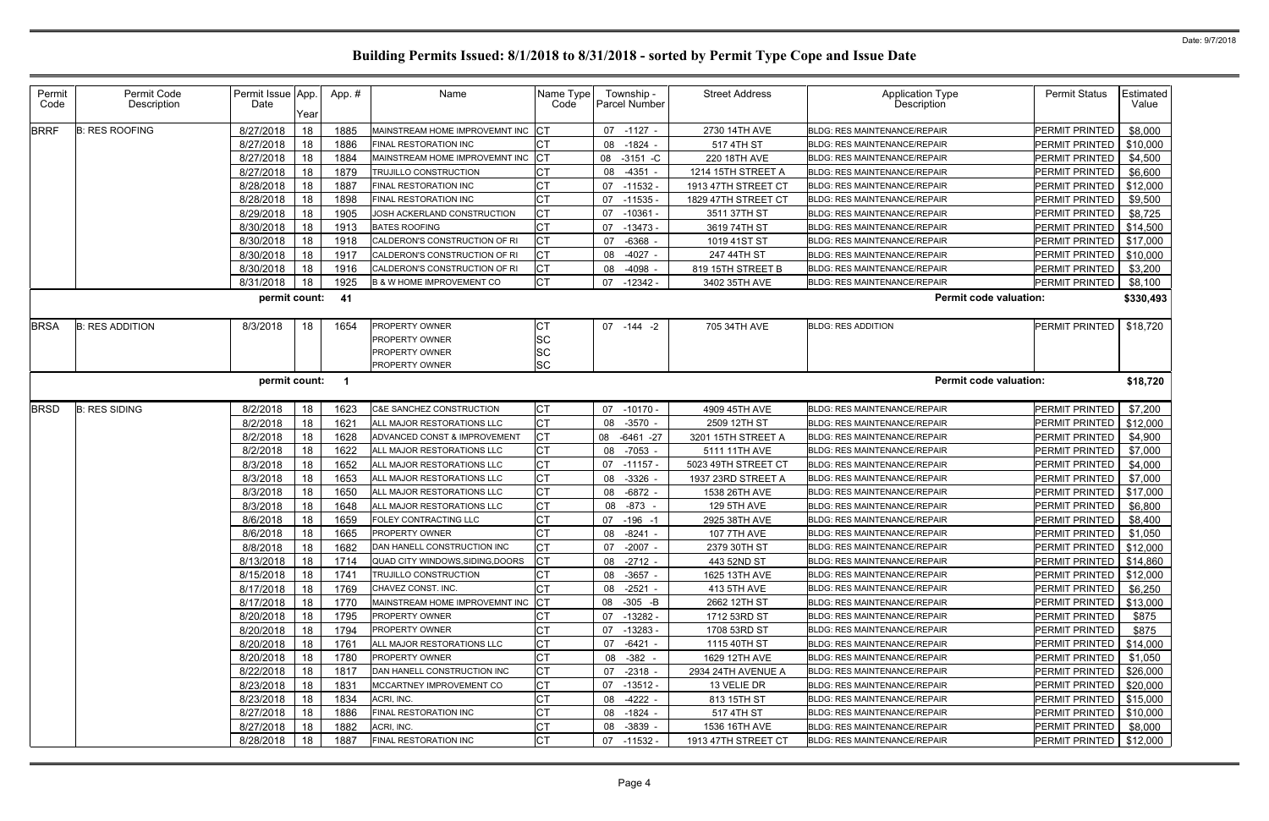| Permit<br>Code | Permit Code<br>Description | Permit Issue App.<br>Date | Year | App.# | Name                                 | Name Type<br>Code | Township -<br>Parcel Number | <b>Street Address</b> | <b>Application Type</b><br><b>Description</b> | <b>Permit Status</b>      | Estimated<br>Value |
|----------------|----------------------------|---------------------------|------|-------|--------------------------------------|-------------------|-----------------------------|-----------------------|-----------------------------------------------|---------------------------|--------------------|
| <b>BRRF</b>    | <b>B: RES ROOFING</b>      | 8/27/2018                 | 18   | 1885  | MAINSTREAM HOME IMPROVEMNT INC       | СT                | 07 -1127 -                  | 2730 14TH AVE         | <b>BLDG: RES MAINTENANCE/REPAIR</b>           | <b>PERMIT PRINTED</b>     | \$8,000            |
|                |                            | 8/27/2018                 | 18   | 1886  | FINAL RESTORATION INC                | СT                | 08<br>-1824                 | 517 4TH ST            | <b>BLDG: RES MAINTENANCE/REPAIR</b>           | <b>PERMIT PRINTED</b>     | \$10,000           |
|                |                            | 8/27/2018                 | 18   | 1884  | MAINSTREAM HOME IMPROVEMNT INC       | Iст               | 08<br>$-3151 - C$           | 220 18TH AVE          | <b>BLDG: RES MAINTENANCE/REPAIR</b>           | <b>PERMIT PRINTED</b>     | \$4,500            |
|                |                            | 8/27/2018                 | 18   | 1879  | TRUJILLO CONSTRUCTION                | C <sub>T</sub>    | 08<br>-4351                 | 1214 15TH STREET A    | <b>BLDG: RES MAINTENANCE/REPAIR</b>           | <b>PERMIT PRINTED</b>     | \$6,600            |
|                |                            | 8/28/2018                 | 18   | 1887  | FINAL RESTORATION INC                | <b>CT</b>         | 07<br>$-11532$              | 1913 47TH STREET CT   | BLDG: RES MAINTENANCE/REPAIR                  | PERMIT PRINTED            | \$12,000           |
|                |                            | 8/28/2018                 | 18   | 1898  | FINAL RESTORATION INC                | <b>CT</b>         | 07<br>$-11535$              | 1829 47TH STREET CT   | BLDG: RES MAINTENANCE/REPAIR                  | <b>PERMIT PRINTED</b>     | \$9,500            |
|                |                            | 8/29/2018                 | 18   | 1905  | JOSH ACKERLAND CONSTRUCTION          | <b>CT</b>         | 07<br>$-10361$              | 3511 37TH ST          | <b>BLDG: RES MAINTENANCE/REPAIR</b>           | <b>PERMIT PRINTED</b>     | \$8,725            |
|                |                            | 8/30/2018                 | 18   | 1913  | <b>BATES ROOFING</b>                 | <b>CT</b>         | 07<br>$-13473$              | 3619 74TH ST          | <b>BLDG: RES MAINTENANCE/REPAIR</b>           | <b>PERMIT PRINTED</b>     | \$14,500           |
|                |                            | 8/30/2018                 | 18   | 1918  | CALDERON'S CONSTRUCTION OF RI        | <b>CT</b>         | 07<br>$-6368$               | 1019 41ST ST          | <b>BLDG: RES MAINTENANCE/REPAIR</b>           | PERMIT PRINTED            | \$17,000           |
|                |                            | 8/30/2018                 | 18   | 1917  | CALDERON'S CONSTRUCTION OF RI        | <b>CT</b>         | $-4027$<br>08               | 247 44TH ST           | BLDG: RES MAINTENANCE/REPAIR                  | PERMIT PRINTED            | \$10,000           |
|                |                            | 8/30/2018                 | 18   | 1916  | CALDERON'S CONSTRUCTION OF RI        | <b>CT</b>         | 08<br>$-4098$               | 819 15TH STREET B     | <b>BLDG: RES MAINTENANCE/REPAIR</b>           | PERMIT PRINTED            | \$3,200            |
|                |                            | 8/31/2018                 | 18   | 1925  | <b>B &amp; W HOME IMPROVEMENT CO</b> | <b>CT</b>         | 07 -12342                   | 3402 35TH AVE         | <b>BLDG: RES MAINTENANCE/REPAIR</b>           | PERMIT PRINTED            | \$8,100            |
|                |                            | permit count:             |      | - 41  |                                      |                   |                             |                       | <b>Permit code valuation:</b>                 |                           | \$330,493          |
| <b>BRSA</b>    | <b>B: RES ADDITION</b>     | 8/3/2018                  | 18   | 1654  | PROPERTY OWNER                       | CT                | 07 -144 -2                  | 705 34TH AVE          | <b>BLDG: RES ADDITION</b>                     | <b>PERMIT PRINTED</b>     | \$18,720           |
|                |                            |                           |      |       | PROPERTY OWNER                       | SC                |                             |                       |                                               |                           |                    |
|                |                            |                           |      |       | PROPERTY OWNER                       | <b>SC</b>         |                             |                       |                                               |                           |                    |
|                |                            |                           |      |       | PROPERTY OWNER                       | <b>SC</b>         |                             |                       |                                               |                           |                    |
|                |                            | permit count:             |      | - 1   |                                      |                   |                             |                       | <b>Permit code valuation:</b>                 |                           | \$18,720           |
| <b>BRSD</b>    | <b>B: RES SIDING</b>       | 8/2/2018                  | 18   | 1623  | C&E SANCHEZ CONSTRUCTION             | <b>CT</b>         | $07 - 10170$                | 4909 45TH AVE         | BLDG: RES MAINTENANCE/REPAIR                  | <b>PERMIT PRINTED</b>     | \$7,200            |
|                |                            | 8/2/2018                  | 18   | 1621  | ALL MAJOR RESTORATIONS LLC           | <b>CT</b>         | $-3570$<br>08               | 2509 12TH ST          | BLDG: RES MAINTENANCE/REPAIR                  | <b>PERMIT PRINTED</b>     | \$12,000           |
|                |                            | 8/2/2018                  | 18   | 1628  | ADVANCED CONST & IMPROVEMENT         | C <sub>T</sub>    | 08<br>-6461 -27             | 3201 15TH STREET A    | <b>BLDG: RES MAINTENANCE/REPAIR</b>           | <b>PERMIT PRINTED</b>     | \$4,900            |
|                |                            | 8/2/2018                  | 18   | 1622  | ALL MAJOR RESTORATIONS LLC           | <b>CT</b>         | $-7053$<br>08               | 5111 11TH AVE         | <b>BLDG: RES MAINTENANCE/REPAIR</b>           | <b>PERMIT PRINTED</b>     | \$7,000            |
|                |                            | 8/3/2018                  | 18   | 1652  | ALL MAJOR RESTORATIONS LLC           | <b>CT</b>         | 07 -11157                   | 5023 49TH STREET CT   | <b>BLDG: RES MAINTENANCE/REPAIR</b>           | <b>PERMIT PRINTED</b>     | \$4,000            |
|                |                            | 8/3/2018                  | 18   | 1653  | ALL MAJOR RESTORATIONS LLC           | <b>CT</b>         | $-3326$<br>08               | 1937 23RD STREET A    | BLDG: RES MAINTENANCE/REPAIR                  | PERMIT PRINTED            | \$7,000            |
|                |                            | 8/3/2018                  | 18   | 1650  | ALL MAJOR RESTORATIONS LLC           | C <sub>T</sub>    | $-6872$<br>08               | 1538 26TH AVE         | BLDG: RES MAINTENANCE/REPAIR                  | <b>PERMIT PRINTED</b>     | \$17,000           |
|                |                            | 8/3/2018                  | 18   | 1648  | ALL MAJOR RESTORATIONS LLC           | <b>CT</b>         | 08<br>-873                  | 129 5TH AVE           | <b>BLDG: RES MAINTENANCE/REPAIR</b>           | <b>PERMIT PRINTED</b>     | \$6,800            |
|                |                            | 8/6/2018                  | 18   | 1659  | FOLEY CONTRACTING LLC                | <b>CT</b>         | 07<br>$-196 - 1$            | 2925 38TH AVE         | <b>BLDG: RES MAINTENANCE/REPAIR</b>           | <b>PERMIT PRINTED</b>     | \$8,400            |
|                |                            | 8/6/2018                  | 18   | 1665  | <b>PROPERTY OWNER</b>                | <b>ICT</b>        | 08 -8241                    | <b>107 7TH AVE</b>    | <b>BLDG: RES MAINTENANCE/REPAIR</b>           | <b>PERMIT PRINTED</b>     | \$1,050            |
|                |                            | 8/8/2018                  | 18   | 1682  | DAN HANELL CONSTRUCTION INC          | <b>CT</b>         | 07 -2007 -                  | 2379 30TH ST          | BLDG: RES MAINTENANCE/REPAIR                  | PERMIT PRINTED   \$12,000 |                    |
|                |                            | 8/13/2018                 | 18   | 1714  | QUAD CITY WINDOWS, SIDING, DOORS     | СT                | 08 -2712 -                  | 443 52ND ST           | BLDG: RES MAINTENANCE/REPAIR                  | PERMIT PRINTED   \$14,860 |                    |
|                |                            | 8/15/2018                 | 18   | 1741  | TRUJILLO CONSTRUCTION                | <b>CT</b>         | 08 -3657 -                  | 1625 13TH AVE         | <b>BLDG: RES MAINTENANCE/REPAIR</b>           | PERMIT PRINTED            | \$12,000           |
|                |                            | 8/17/2018                 | 18   | 1769  | CHAVEZ CONST. INC.                   | <b>CT</b>         | 08 -2521                    | 413 5TH AVE           | <b>BLDG: RES MAINTENANCE/REPAIR</b>           | PERMIT PRINTED            | \$6,250            |
|                |                            | 8/17/2018                 | 18   | 1770  | MAINSTREAM HOME IMPROVEMNT INC       | Iст               | 08 -305 -B                  | 2662 12TH ST          | <b>BLDG: RES MAINTENANCE/REPAIR</b>           | PERMIT PRINTED            | \$13,000           |
|                |                            | 8/20/2018                 | 18   | 1795  | PROPERTY OWNER                       | СT                | -13282 -<br>07              | 1712 53RD ST          | <b>BLDG: RES MAINTENANCE/REPAIR</b>           | <b>PERMIT PRINTED</b>     | \$875              |
|                |                            | 8/20/2018                 | 18   | 1794  | PROPERTY OWNER                       | <b>CT</b>         | $07 - 13283$                | 1708 53RD ST          | <b>BLDG: RES MAINTENANCE/REPAIR</b>           | <b>PERMIT PRINTED</b>     | \$875              |
|                |                            | 8/20/2018                 | 18   | 1761  | ALL MAJOR RESTORATIONS LLC           | <b>CT</b>         | $-6421 -$<br>07             | 1115 40TH ST          | BLDG: RES MAINTENANCE/REPAIR                  | PERMIT PRINTED            | \$14,000           |
|                |                            | 8/20/2018                 | 18   | 1780  | <b>PROPERTY OWNER</b>                | СT                | 08 - 382 -                  | 1629 12TH AVE         | BLDG: RES MAINTENANCE/REPAIR                  | PERMIT PRINTED            | \$1,050            |
|                |                            | 8/22/2018                 | 18   | 1817  | DAN HANELL CONSTRUCTION INC          | СT                | $-2318$<br>07               | 2934 24TH AVENUE A    | <b>BLDG: RES MAINTENANCE/REPAIR</b>           | PERMIT PRINTED            | \$26,000           |
|                |                            | 8/23/2018                 | 18   | 1831  | MCCARTNEY IMPROVEMENT CO             | <b>CT</b>         | 07 -13512 -                 | 13 VELIE DR           | BLDG: RES MAINTENANCE/REPAIR                  | PERMIT PRINTED            | \$20,000           |
|                |                            | 8/23/2018                 | 18   | 1834  | ACRI, INC.                           | <b>CT</b>         | -4222<br>08                 | 813 15TH ST           | <b>BLDG: RES MAINTENANCE/REPAIR</b>           | PERMIT PRINTED            | \$15,000           |
|                |                            | 8/27/2018                 | 18   | 1886  | FINAL RESTORATION INC                | <b>CT</b>         | 08 -1824 -                  | 517 4TH ST            | <b>BLDG: RES MAINTENANCE/REPAIR</b>           | PERMIT PRINTED            | \$10,000           |
|                |                            | 8/27/2018                 | 18   | 1882  | ACRI, INC.                           | <b>CT</b>         | 08 -3839                    | 1536 16TH AVE         | BLDG: RES MAINTENANCE/REPAIR                  | PERMIT PRINTED            | \$8,000            |
|                |                            | 8/28/2018                 | 18   | 1887  | FINAL RESTORATION INC                | <b>CT</b>         | 07 -11532 -                 | 1913 47TH STREET CT   | BLDG: RES MAINTENANCE/REPAIR                  | PERMIT PRINTED   \$12,000 |                    |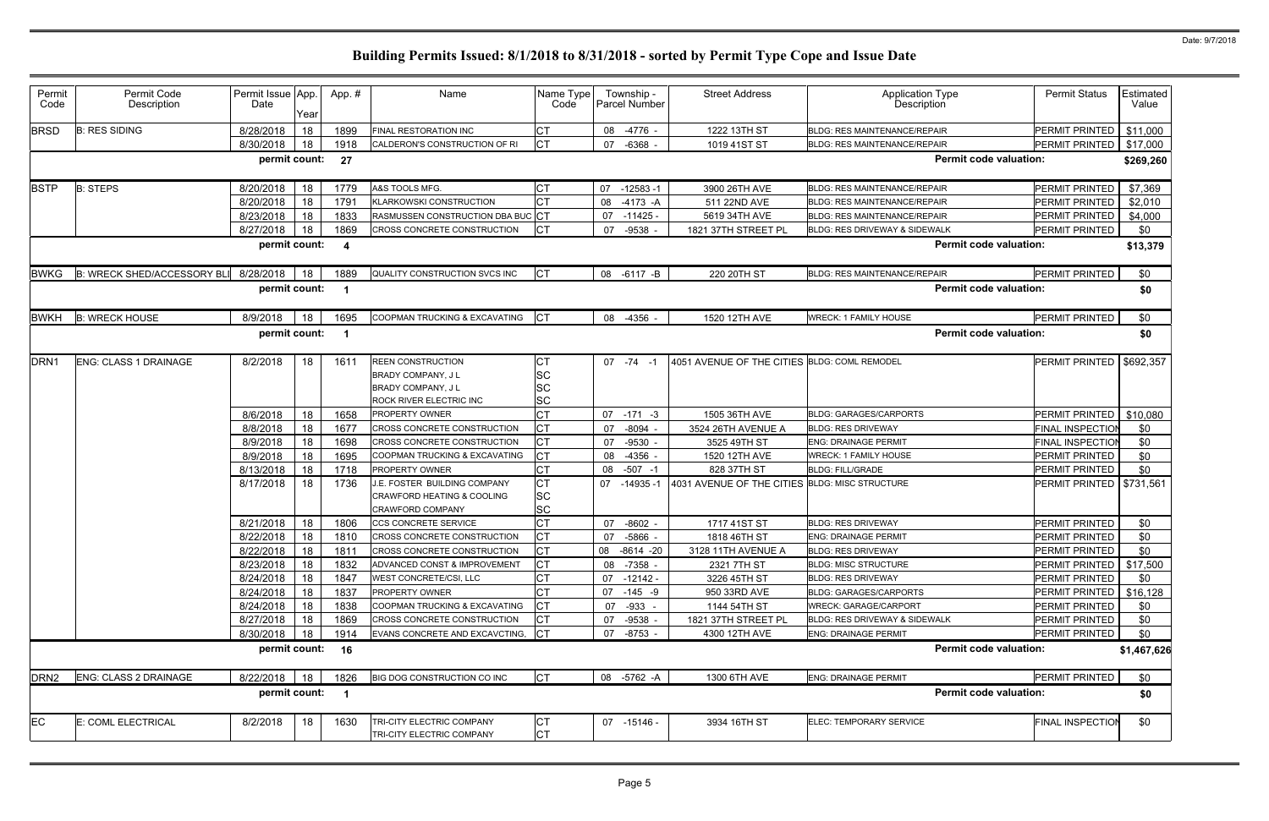| Permit<br>Code   | Permit Code<br>Description         | Permit Issue App.<br>Date | Year | App. #                  | Name                                                                                                        | Name Type<br>Code                   | Township -<br><b>Parcel Number</b> | <b>Street Address</b>                          | <b>Application Type</b><br>Description   | <b>Permit Status</b>          | Estimated<br>Value |
|------------------|------------------------------------|---------------------------|------|-------------------------|-------------------------------------------------------------------------------------------------------------|-------------------------------------|------------------------------------|------------------------------------------------|------------------------------------------|-------------------------------|--------------------|
| <b>BRSD</b>      | <b>B: RES SIDING</b>               | 8/28/2018                 | 18   | 1899                    | FINAL RESTORATION INC                                                                                       | <b>CT</b>                           | 08 -4776 -                         | 1222 13TH ST                                   | <b>BLDG: RES MAINTENANCE/REPAIR</b>      | PERMIT PRINTED                | \$11,000           |
|                  |                                    | 8/30/2018                 | 18   | 1918                    | CALDERON'S CONSTRUCTION OF RI                                                                               | lст                                 | $-6368 -$<br>07                    | 1019 41ST ST                                   | BLDG: RES MAINTENANCE/REPAIR             | PERMIT PRINTED                | \$17,000           |
|                  |                                    | permit count:             |      | 27                      |                                                                                                             |                                     |                                    |                                                |                                          | <b>Permit code valuation:</b> | \$269,260          |
| <b>BSTP</b>      | <b>B: STEPS</b>                    | 8/20/2018                 | 18   | 1779                    | A&S TOOLS MFG.                                                                                              | <b>CT</b>                           | $-12583 - 1$<br>07                 | 3900 26TH AVE                                  | <b>BLDG: RES MAINTENANCE/REPAIR</b>      | PERMIT PRINTED                | \$7,369            |
|                  |                                    | 8/20/2018                 | 18   | 1791                    | <b>KLARKOWSKI CONSTRUCTION</b>                                                                              | <b>CT</b>                           | 08<br>$-4173 - A$                  | 511 22ND AVE                                   | <b>BLDG: RES MAINTENANCE/REPAIR</b>      | PERMIT PRINTED                | \$2,010            |
|                  |                                    | 8/23/2018                 | 18   | 1833                    | RASMUSSEN CONSTRUCTION DBA BUC CT                                                                           |                                     | 07<br>-11425 -                     | 5619 34TH AVE                                  | <b>BLDG: RES MAINTENANCE/REPAIR</b>      | PERMIT PRINTED                | \$4,000            |
|                  |                                    | 8/27/2018                 | 18   | 1869                    | CROSS CONCRETE CONSTRUCTION                                                                                 | Iст                                 | $-9538$<br>07                      | 1821 37TH STREET PL                            | <b>BLDG: RES DRIVEWAY &amp; SIDEWALK</b> | PERMIT PRINTED                | \$0                |
|                  |                                    | permit count:             |      | -4                      |                                                                                                             |                                     |                                    |                                                |                                          | <b>Permit code valuation:</b> | \$13,379           |
| <b>BWKG</b>      | <b>B: WRECK SHED/ACCESSORY BLI</b> | 8/28/2018                 | 18   | 1889                    | QUALITY CONSTRUCTION SVCS INC                                                                               | <b>ICT</b>                          | 08 -6117 -B                        | 220 20TH ST                                    | <b>BLDG: RES MAINTENANCE/REPAIR</b>      | PERMIT PRINTED                | \$0                |
|                  |                                    | permit count:             |      | $\overline{\mathbf{1}}$ |                                                                                                             |                                     |                                    |                                                |                                          | <b>Permit code valuation:</b> | \$0                |
| <b>BWKH</b>      | <b>B: WRECK HOUSE</b>              | 8/9/2018                  | 18   | 1695                    | COOPMAN TRUCKING & EXCAVATING                                                                               | Iст                                 | -4356<br>08                        | 1520 12TH AVE                                  | <b>WRECK: 1 FAMILY HOUSE</b>             | PERMIT PRINTED                | \$0                |
|                  |                                    | permit count:             |      | -1                      |                                                                                                             |                                     |                                    |                                                |                                          | <b>Permit code valuation:</b> | \$0                |
| DRN <sub>1</sub> | <b>ENG: CLASS 1 DRAINAGE</b>       | 8/2/2018                  | 18   | 1611                    | <b>REEN CONSTRUCTION</b><br><b>BRADY COMPANY, JL</b><br><b>BRADY COMPANY, JL</b><br>ROCK RIVER ELECTRIC INC | CT<br>SC<br>SC<br>SC                | $07 - 74 - 1$                      | 4051 AVENUE OF THE CITIES BLDG: COML REMODEL   |                                          | PERMIT PRINTED                | \$692,357          |
|                  |                                    | 8/6/2018                  | 18   | 1658                    | PROPERTY OWNER                                                                                              | <b>CT</b>                           | 07<br>$-171 -3$                    | 1505 36TH AVE                                  | <b>BLDG: GARAGES/CARPORTS</b>            | PERMIT PRINTED                | \$10,080           |
|                  |                                    | 8/8/2018                  | 18   | 1677                    | CROSS CONCRETE CONSTRUCTION                                                                                 | <b>CT</b>                           | $-8094 -$<br>07                    | 3524 26TH AVENUE A                             | <b>BLDG: RES DRIVEWAY</b>                | FINAL INSPECTION              | \$0                |
|                  |                                    | 8/9/2018                  | 18   | 1698                    | CROSS CONCRETE CONSTRUCTION                                                                                 | <b>CT</b>                           | $-9530 -$<br>07                    | 3525 49TH ST                                   | <b>ENG: DRAINAGE PERMIT</b>              | FINAL INSPECTIO               | \$0                |
|                  |                                    | 8/9/2018                  | 18   | 1695                    | COOPMAN TRUCKING & EXCAVATING                                                                               | <b>CT</b>                           | -4356 -<br>08                      | 1520 12TH AVE                                  | <b>WRECK: 1 FAMILY HOUSE</b>             | <b>PERMIT PRINTED</b>         | \$0                |
|                  |                                    | 8/13/2018                 | 18   | 1718                    | <b>PROPERTY OWNER</b>                                                                                       | <b>CT</b>                           | 08<br>$-507 - 1$                   | 828 37TH ST                                    | <b>BLDG: FILL/GRADE</b>                  | PERMIT PRINTED                | \$0                |
|                  |                                    | 8/17/2018                 | 18   | 1736                    | J.E. FOSTER BUILDING COMPANY<br>CRAWFORD HEATING & COOLING<br>CRAWFORD COMPANY                              | <b>CT</b><br><b>SC</b><br><b>SC</b> | 07<br>-14935 -1                    | 4031 AVENUE OF THE CITIES BLDG: MISC STRUCTURE |                                          | PERMIT PRINTED                | \$731,561          |
|                  |                                    | 8/21/2018                 | 18   | 1806                    | <b>CCS CONCRETE SERVICE</b>                                                                                 | <b>CT</b>                           | $-8602 -$<br>07                    | 1717 41ST ST                                   | <b>BLDG: RES DRIVEWAY</b>                | PERMIT PRINTED                | \$0                |
|                  |                                    | 8/22/2018                 | 18   | 1810                    | CROSS CONCRETE CONSTRUCTION                                                                                 |                                     | 07<br>-5866 -                      | 1818 46TH ST                                   | <b>ENG: DRAINAGE PERMIT</b>              | PERMIT PRINTED                | \$0                |
|                  |                                    | 8/22/2018                 | 18   | 1811                    | CROSS CONCRETE CONSTRUCTION                                                                                 | <b>CT</b>                           | 08 -8614 -20                       | 3128 11TH AVENUE A                             | <b>BLDG: RES DRIVEWAY</b>                | PERMIT PRINTED                | \$0                |
|                  |                                    | 8/23/2018                 | 18   | 1832                    | ADVANCED CONST & IMPROVEMENT                                                                                | <b>ICT</b>                          | 08 -7358 -                         | 2321 7TH ST                                    | <b>BLDG: MISC STRUCTURE</b>              | <b>PERMIT PRINTED</b>         | \$17,500           |
|                  |                                    | 8/24/2018                 | 18   | 1847                    | WEST CONCRETE/CSI, LLC                                                                                      | <b>CT</b>                           | 07<br>-12142 -                     | 3226 45TH ST                                   | <b>BLDG: RES DRIVEWAY</b>                | PERMIT PRINTED                | \$0                |
|                  |                                    | 8/24/2018                 | 18   | 1837                    | PROPERTY OWNER                                                                                              |                                     | 07<br>$-145 - 9$                   | 950 33RD AVE                                   | <b>BLDG: GARAGES/CARPORTS</b>            | PERMIT PRINTED                | \$16,128           |
|                  |                                    | 8/24/2018                 | 18   | 1838                    | COOPMAN TRUCKING & EXCAVATING                                                                               | Iст                                 | 07 -933 -                          | 1144 54TH ST                                   | <b>WRECK: GARAGE/CARPORT</b>             | PERMIT PRINTED                | \$0                |
|                  |                                    | 8/27/2018                 | 18   | 1869                    | CROSS CONCRETE CONSTRUCTION                                                                                 | Iст                                 | 07 -9538 -                         | 1821 37TH STREET PL                            | BLDG: RES DRIVEWAY & SIDEWALK            | PERMIT PRINTED                | \$0                |
|                  |                                    | 8/30/2018                 | 18   | 1914                    | EVANS CONCRETE AND EXCAVCTING, CT                                                                           |                                     | 07 -8753 -                         | 4300 12TH AVE                                  | <b>ENG: DRAINAGE PERMIT</b>              | PERMIT PRINTED                | \$0                |
|                  |                                    | permit count: 16          |      |                         |                                                                                                             |                                     |                                    |                                                |                                          | <b>Permit code valuation:</b> | \$1,467,626        |
| DRN <sub>2</sub> | ENG: CLASS 2 DRAINAGE              | 8/22/2018                 | 18   | 1826                    | BIG DOG CONSTRUCTION CO INC                                                                                 | <b>CT</b>                           | 08 -5762 -A                        | 1300 6TH AVE                                   | <b>ENG: DRAINAGE PERMIT</b>              | PERMIT PRINTED                | \$0                |
|                  |                                    | permit count:             |      | $\overline{1}$          |                                                                                                             |                                     |                                    |                                                |                                          | <b>Permit code valuation:</b> | \$0                |
| <b>EC</b>        | E: COML ELECTRICAL                 | 8/2/2018                  | 18   | 1630                    | TRI-CITY ELECTRIC COMPANY                                                                                   | IСТ                                 | 07 -15146 -                        | 3934 16TH ST                                   | ELEC: TEMPORARY SERVICE                  | <b>FINAL INSPECTION</b>       | \$0                |
|                  |                                    |                           |      |                         | TRI-CITY ELECTRIC COMPANY                                                                                   | <b>CT</b>                           |                                    |                                                |                                          |                               |                    |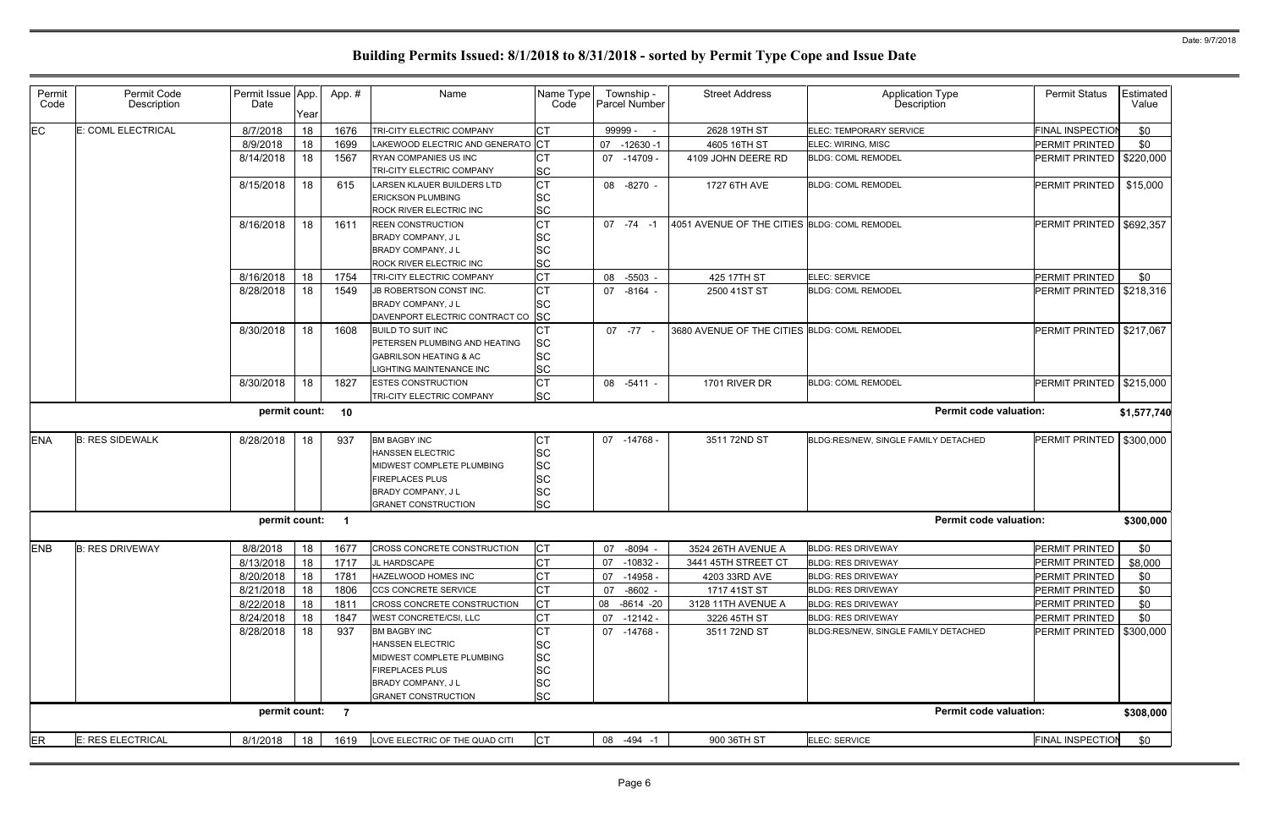| Permit<br>Code | Permit Code<br>Description | Permit Issue App.<br>Date | Year | App.#                   | Name                                                                                                                                                            | Name Type<br>Code                                     | Township -<br><b>Parcel Number</b> | <b>Street Address</b>                        | <b>Application Type</b><br>Description | <b>Permit Status</b>       | Estimated<br>Value |
|----------------|----------------------------|---------------------------|------|-------------------------|-----------------------------------------------------------------------------------------------------------------------------------------------------------------|-------------------------------------------------------|------------------------------------|----------------------------------------------|----------------------------------------|----------------------------|--------------------|
| EC             | E: COML ELECTRICAL         | 8/7/2018                  | 18   | 1676                    | TRI-CITY ELECTRIC COMPANY                                                                                                                                       | <b>CT</b>                                             | 99999 -                            | 2628 19TH ST                                 | ELEC: TEMPORARY SERVICE                | <b>FINAL INSPECTION</b>    | \$0                |
|                |                            | 8/9/2018                  | 18   | 1699                    | LAKEWOOD ELECTRIC AND GENERATO CT                                                                                                                               |                                                       | 07<br>$-12630 - 1$                 | 4605 16TH ST                                 | ELEC: WIRING, MISC                     | PERMIT PRINTED             | \$0                |
|                |                            | 8/14/2018                 | 18   | 1567                    | RYAN COMPANIES US INC<br>TRI-CITY ELECTRIC COMPANY                                                                                                              | <b>SC</b>                                             | 07 -14709 -                        | 4109 JOHN DEERE RD                           | <b>BLDG: COML REMODEL</b>              | PERMIT PRINTED             | \$220,000          |
|                |                            | 8/15/2018                 | 18   | 615                     | LARSEN KLAUER BUILDERS LTD<br><b>ERICKSON PLUMBING</b><br>ROCK RIVER ELECTRIC INC                                                                               | $\overline{\text{CT}}$<br>SC<br><b>SC</b>             | 08 -8270 -                         | 1727 6TH AVE                                 | <b>BLDG: COML REMODEL</b>              | PERMIT PRINTED             | \$15,000           |
|                |                            | 8/16/2018                 | 18   | 1611                    | <b>REEN CONSTRUCTION</b><br><b>BRADY COMPANY, JL</b><br>BRADY COMPANY, J L<br>ROCK RIVER ELECTRIC INC                                                           | <b>CT</b><br>SC<br><b>SC</b><br><b>SC</b>             | $07 - 74 - 1$                      | 4051 AVENUE OF THE CITIES BLDG: COML REMODEL |                                        | PERMIT PRINTED   \$692,357 |                    |
|                |                            | 8/16/2018                 | 18   | 1754                    | TRI-CITY ELECTRIC COMPANY                                                                                                                                       | <b>CT</b>                                             | 08<br>-5503 -                      | 425 17TH ST                                  | ELEC: SERVICE                          | PERMIT PRINTED             | \$0                |
|                |                            | 8/28/2018                 | 18   | 1549                    | JB ROBERTSON CONST INC.<br>BRADY COMPANY, J L<br>DAVENPORT ELECTRIC CONTRACT CO SC                                                                              | <b>CT</b><br>SC                                       | 07 -8164 -                         | 2500 41ST ST                                 | <b>BLDG: COML REMODEL</b>              | PERMIT PRINTED             | \$218,316          |
|                |                            | 8/30/2018                 | 18   | 1608                    | <b>BUILD TO SUIT INC</b><br>PETERSEN PLUMBING AND HEATING<br><b>GABRILSON HEATING &amp; AC</b><br><b>IGHTING MAINTENANCE INC</b>                                | <b>CT</b><br>SC<br><b>SC</b><br><b>SC</b>             | $07 - 77 -$                        | 3680 AVENUE OF THE CITIES BLDG: COML REMODEL |                                        | PERMIT PRINTED   \$217,067 |                    |
|                |                            | 8/30/2018                 | 18   | 1827                    | <b>ESTES CONSTRUCTION</b><br>TRI-CITY ELECTRIC COMPANY                                                                                                          | <b>CT</b><br><b>SC</b>                                | 08 -5411 -                         | 1701 RIVER DR                                | <b>BLDG: COML REMODEL</b>              | PERMIT PRINTED             | \$215,000          |
|                |                            | permit count:             |      | 10                      |                                                                                                                                                                 |                                                       |                                    |                                              | <b>Permit code valuation:</b>          |                            | \$1,577,740        |
| <b>ENA</b>     | <b>B: RES SIDEWALK</b>     | 8/28/2018                 | 18   | 937                     | <b>BM BAGBY INC</b><br><b>HANSSEN ELECTRIC</b><br>MIDWEST COMPLETE PLUMBING<br><b>FIREPLACES PLUS</b><br><b>BRADY COMPANY, JL</b><br><b>GRANET CONSTRUCTION</b> | СT<br>SC<br><b>SC</b><br>SC<br><b>SC</b><br><b>SC</b> | 07 -14768 -                        | 3511 72ND ST                                 | BLDG:RES/NEW, SINGLE FAMILY DETACHED   | PERMIT PRINTED             | \$300,000          |
|                |                            | permit count:             |      | $\overline{\mathbf{1}}$ |                                                                                                                                                                 |                                                       |                                    |                                              | <b>Permit code valuation:</b>          |                            | \$300,000          |
| ENB            | <b>B: RES DRIVEWAY</b>     | 8/8/2018 18               |      |                         | 1677 CROSS CONCRETE CONSTRUCTION                                                                                                                                | CT                                                    | 07 -8094 -                         | 3524 26TH AVENUE A                           | <b>BLDG: RES DRIVEWAY</b>              | PERMIT PRINTED             | \$0                |
|                |                            | 8/13/2018                 | 18   | 1717                    | JL HARDSCAPE                                                                                                                                                    | <b>CT</b>                                             | 07 -10832 -                        | 3441 45TH STREET CT                          | <b>BLDG: RES DRIVEWAY</b>              | PERMIT PRINTED             | \$8,000            |
|                |                            | 8/20/2018                 | 18   | 1781                    | HAZELWOOD HOMES INC                                                                                                                                             |                                                       | 07 -14958 -                        | 4203 33RD AVE                                | <b>BLDG: RES DRIVEWAY</b>              | PERMIT PRINTED             | \$0                |
|                |                            | 8/21/2018                 | 18   | 1806                    | CCS CONCRETE SERVICE                                                                                                                                            | <b>CT</b>                                             | $-8602 -$<br>07                    | 1717 41ST ST                                 | <b>BLDG: RES DRIVEWAY</b>              | PERMIT PRINTED             | \$0                |
|                |                            | 8/22/2018                 | 18   | 1811                    | CROSS CONCRETE CONSTRUCTION                                                                                                                                     | Iст                                                   | -8614 -20<br>08                    | 3128 11TH AVENUE A                           | <b>BLDG: RES DRIVEWAY</b>              | PERMIT PRINTED             | \$0                |
|                |                            | 8/24/2018                 | 18   | 1847                    | WEST CONCRETE/CSI, LLC                                                                                                                                          | <b>CT</b>                                             | $-12142-$<br>07                    | 3226 45TH ST                                 | <b>BLDG: RES DRIVEWAY</b>              | PERMIT PRINTED             | \$0                |
|                |                            | 8/28/2018                 | 18   | 937                     | <b>BM BAGBY INC</b><br><b>HANSSEN ELECTRIC</b><br>MIDWEST COMPLETE PLUMBING<br><b>FIREPLACES PLUS</b><br>BRADY COMPANY, J L<br><b>GRANET CONSTRUCTION</b>       | SC<br>SC<br>SC<br>SC<br><b>SC</b>                     | 07 -14768 -                        | 3511 72ND ST                                 | BLDG:RES/NEW, SINGLE FAMILY DETACHED   | PERMIT PRINTED   \$300,000 |                    |
|                |                            | permit count: 7           |      |                         |                                                                                                                                                                 |                                                       |                                    |                                              | <b>Permit code valuation:</b>          |                            | \$308,000          |
| ER             | E: RES ELECTRICAL          | 8/1/2018                  | 18   | 1619                    | LOVE ELECTRIC OF THE QUAD CITI                                                                                                                                  | <b>CT</b>                                             | 08 -494 -1                         | 900 36TH ST                                  | ELEC: SERVICE                          | <b>FINAL INSPECTION</b>    | \$0                |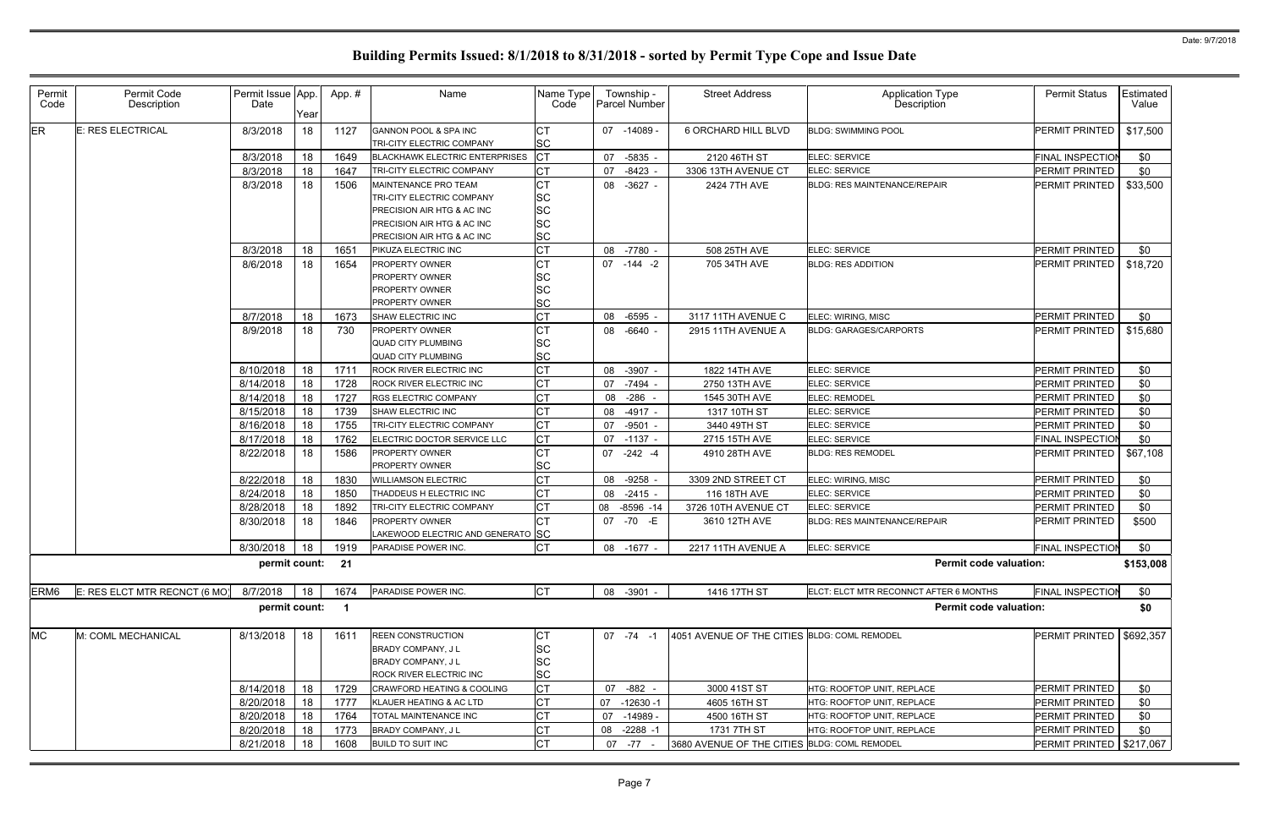| Permit<br>Code   | Permit Code<br>Description    | Permit Issue App.<br>Date | Year | App.#                   | Name                                                                       | Name Type<br>Code      | Township -<br><b>Parcel Number</b> | <b>Street Address</b>                        | Application Type<br>Description        | <b>Permit Status</b>       | Estimated<br>Value |
|------------------|-------------------------------|---------------------------|------|-------------------------|----------------------------------------------------------------------------|------------------------|------------------------------------|----------------------------------------------|----------------------------------------|----------------------------|--------------------|
| ER               | <b>E: RES ELECTRICAL</b>      | 8/3/2018                  | 18   | 1127                    | GANNON POOL & SPA INC<br>TRI-CITY ELECTRIC COMPANY                         | <b>CT</b><br><b>SC</b> | 07 -14089 -                        | 6 ORCHARD HILL BLVD                          | <b>BLDG: SWIMMING POOL</b>             | PERMIT PRINTED             | \$17,500           |
|                  |                               | 8/3/2018                  | 18   | 1649                    | <b>BLACKHAWK ELECTRIC ENTERPRISES</b>                                      | <b>CT</b>              | -5835 -<br>07                      | 2120 46TH ST                                 | <b>ELEC: SERVICE</b>                   | <b>FINAL INSPECTIOI</b>    | \$0                |
|                  |                               | 8/3/2018                  | 18   | 1647                    | TRI-CITY ELECTRIC COMPANY                                                  | <b>CT</b>              | 07<br>-8423 -                      | 3306 13TH AVENUE CT                          | ELEC: SERVICE                          | PERMIT PRINTED             | \$0                |
|                  |                               | 8/3/2018                  | 18   | 1506                    | MAINTENANCE PRO TEAM                                                       | <b>CT</b>              | 08 -3627 -                         | 2424 7TH AVE                                 | <b>BLDG: RES MAINTENANCE/REPAIR</b>    | PERMIT PRINTED             | \$33,500           |
|                  |                               |                           |      |                         | TRI-CITY ELECTRIC COMPANY                                                  | SC                     |                                    |                                              |                                        |                            |                    |
|                  |                               |                           |      |                         | PRECISION AIR HTG & AC INC                                                 | SC                     |                                    |                                              |                                        |                            |                    |
|                  |                               |                           |      |                         | PRECISION AIR HTG & AC INC                                                 | <b>SC</b>              |                                    |                                              |                                        |                            |                    |
|                  |                               |                           |      |                         | PRECISION AIR HTG & AC INC                                                 | <b>SC</b>              |                                    |                                              |                                        |                            |                    |
|                  |                               | 8/3/2018                  | 18   | 1651                    | PIKUZA ELECTRIC INC                                                        | <b>CT</b>              | 08 -7780 -                         | 508 25TH AVE                                 | ELEC: SERVICE                          | PERMIT PRINTED             | \$0                |
|                  |                               | 8/6/2018                  | 18   | 1654                    | <b>PROPERTY OWNER</b>                                                      | <b>CT</b>              | 07 -144 -2                         | 705 34TH AVE                                 | <b>BLDG: RES ADDITION</b>              | PERMIT PRINTED             | \$18,720           |
|                  |                               |                           |      |                         | <b>PROPERTY OWNER</b>                                                      | SC                     |                                    |                                              |                                        |                            |                    |
|                  |                               |                           |      |                         | <b>PROPERTY OWNER</b>                                                      | SC                     |                                    |                                              |                                        |                            |                    |
|                  |                               |                           |      |                         | <b>PROPERTY OWNER</b>                                                      | SC                     |                                    |                                              |                                        |                            |                    |
|                  |                               | 8/7/2018                  | 18   | 1673                    | <b>SHAW ELECTRIC INC</b>                                                   | <b>CT</b>              | 08 -6595                           | 3117 11TH AVENUE C                           | ELEC: WIRING, MISC                     | PERMIT PRINTED             | \$0                |
|                  |                               | 8/9/2018                  | 18   | 730                     | <b>PROPERTY OWNER</b>                                                      | <b>CT</b>              | 08 -6640 -                         | 2915 11TH AVENUE A                           | <b>BLDG: GARAGES/CARPORTS</b>          | PERMIT PRINTED             | \$15,680           |
|                  |                               |                           |      |                         | QUAD CITY PLUMBING                                                         | SC                     |                                    |                                              |                                        |                            |                    |
|                  |                               |                           |      |                         | <b>QUAD CITY PLUMBING</b>                                                  | SC                     |                                    |                                              |                                        |                            |                    |
|                  |                               | 8/10/2018                 | 18   | 1711                    | <b>ROCK RIVER ELECTRIC INC</b>                                             | <b>CT</b>              | 08 -3907 -                         | 1822 14TH AVE                                | ELEC: SERVICE                          | PERMIT PRINTED             | \$0                |
|                  |                               | 8/14/2018                 | 18   | 1728                    | ROCK RIVER ELECTRIC INC                                                    | <b>CT</b>              | 07 -7494 -                         | 2750 13TH AVE                                | ELEC: SERVICE                          | PERMIT PRINTED             | \$0                |
|                  |                               | 8/14/2018                 | 18   | 1727                    | <b>RGS ELECTRIC COMPANY</b>                                                | <b>CT</b>              | 08 -286 -                          | 1545 30TH AVE                                | <b>ELEC: REMODEL</b>                   | PERMIT PRINTED             | \$0                |
|                  |                               | 8/15/2018                 | 18   | 1739                    | SHAW ELECTRIC INC                                                          | <b>CT</b>              | -4917 -<br>08                      | 1317 10TH ST                                 | ELEC: SERVICE                          | PERMIT PRINTED             | \$0                |
|                  |                               | 8/16/2018                 | 18   | 1755                    | TRI-CITY ELECTRIC COMPANY                                                  | <b>CT</b>              | $-9501 -$<br>07                    | 3440 49TH ST                                 | ELEC: SERVICE                          | PERMIT PRINTED             | \$0                |
|                  |                               | 8/17/2018                 | 18   | 1762                    | ELECTRIC DOCTOR SERVICE LLC                                                | C <sub>T</sub>         | 07 -1137 -                         | 2715 15TH AVE                                | ELEC: SERVICE                          | <b>FINAL INSPECTION</b>    | \$0                |
|                  |                               | 8/22/2018                 | 18   | 1586                    | <b>PROPERTY OWNER</b>                                                      | <b>CT</b>              | 07 -242 -4                         | 4910 28TH AVE                                | <b>BLDG: RES REMODEL</b>               | PERMIT PRINTED             | \$67,108           |
|                  |                               |                           |      |                         | PROPERTY OWNER                                                             | SC                     |                                    |                                              |                                        |                            |                    |
|                  |                               | 8/22/2018                 | 18   | 1830                    | <b>WILLIAMSON ELECTRIC</b>                                                 | СT                     | 08 - 9258                          | 3309 2ND STREET CT                           | ELEC: WIRING, MISC                     | PERMIT PRINTED             | \$0                |
|                  |                               | 8/24/2018                 | 18   | 1850                    | THADDEUS H ELECTRIC INC                                                    | СT                     | 08 -2415 -                         | 116 18TH AVE                                 | <b>ELEC: SERVICE</b>                   | PERMIT PRINTED             | \$0                |
|                  |                               | 8/28/2018                 | 18   | 1892                    | TRI-CITY ELECTRIC COMPANY                                                  | <b>CT</b>              | $-8596 - 14$<br>08                 | 3726 10TH AVENUE CT                          | ELEC: SERVICE                          | PERMIT PRINTED             | \$0                |
|                  |                               | 8/30/2018                 | 18   | 1846                    | <b>PROPERTY OWNER</b>                                                      | <b>CT</b>              | 07 - 70 - E                        | 3610 12TH AVE                                | <b>BLDG: RES MAINTENANCE/REPAIR</b>    | PERMIT PRINTED             | \$500              |
|                  |                               |                           |      |                         | LAKEWOOD ELECTRIC AND GENERATO SC                                          |                        |                                    |                                              |                                        |                            |                    |
|                  |                               | 8/30/2018 18 1919         |      |                         | PARADISE POWER INC.                                                        | <b>CT</b>              | 08 -1677 -                         | 2217 11TH AVENUE A                           | ELEC: SERVICE                          | FINAL INSPECTION           | \$0                |
|                  |                               | permit count: 21          |      |                         |                                                                            |                        |                                    |                                              | <b>Permit code valuation:</b>          |                            | \$153,008          |
| ERM <sub>6</sub> | E: RES ELCT MTR RECNCT (6 MO) | 8/7/2018                  | 18   | 1674                    | PARADISE POWER INC.                                                        | <b>CT</b>              | 08 -3901 -                         | 1416 17TH ST                                 | ELCT: ELCT MTR RECONNCT AFTER 6 MONTHS | <b>FINAL INSPECTIOI</b>    | \$0                |
|                  |                               | permit count:             |      | $\overline{\mathbf{1}}$ |                                                                            |                        |                                    |                                              | <b>Permit code valuation:</b>          |                            | \$0                |
| <b>MC</b>        | M: COML MECHANICAL            | 8/13/2018                 | 18   | 1611                    | <b>REEN CONSTRUCTION</b><br>BRADY COMPANY, J L<br><b>BRADY COMPANY, JL</b> | <b>CT</b><br>SC<br>SC  | $07 - 74 - 1$                      | 4051 AVENUE OF THE CITIES BLDG: COML REMODEL |                                        | PERMIT PRINTED             | \$692,357          |
|                  |                               |                           |      |                         | ROCK RIVER ELECTRIC INC                                                    | <b>SC</b>              |                                    |                                              |                                        |                            |                    |
|                  |                               | 8/14/2018                 | 18   | 1729                    | <b>CRAWFORD HEATING &amp; COOLING</b>                                      | <b>CT</b>              | 07 -882 -                          | 3000 41ST ST                                 | HTG: ROOFTOP UNIT, REPLACE             | PERMIT PRINTED             | \$0                |
|                  |                               | 8/20/2018                 | 18   | 1777                    | KLAUER HEATING & AC LTD                                                    | <b>CT</b>              | 07<br>-12630 -1                    | 4605 16TH ST                                 | HTG: ROOFTOP UNIT, REPLACE             | PERMIT PRINTED             | \$0                |
|                  |                               | 8/20/2018                 | 18   | 1764                    | TOTAL MAINTENANCE INC                                                      | <b>CT</b>              | 07<br>-14989 -                     | 4500 16TH ST                                 | HTG: ROOFTOP UNIT, REPLACE             | PERMIT PRINTED             | \$0                |
|                  |                               | 8/20/2018                 | 18   | 1773                    | BRADY COMPANY, J L                                                         | <b>CT</b>              | $-2288 - 1$<br>08                  | 1731 7TH ST                                  | HTG: ROOFTOP UNIT, REPLACE             | PERMIT PRINTED             | \$0                |
|                  |                               | 8/21/2018                 | 18   | 1608                    | <b>BUILD TO SUIT INC</b>                                                   | <b>CT</b>              | 07 -77 -                           | 3680 AVENUE OF THE CITIES BLDG: COML REMODEL |                                        | PERMIT PRINTED   \$217,067 |                    |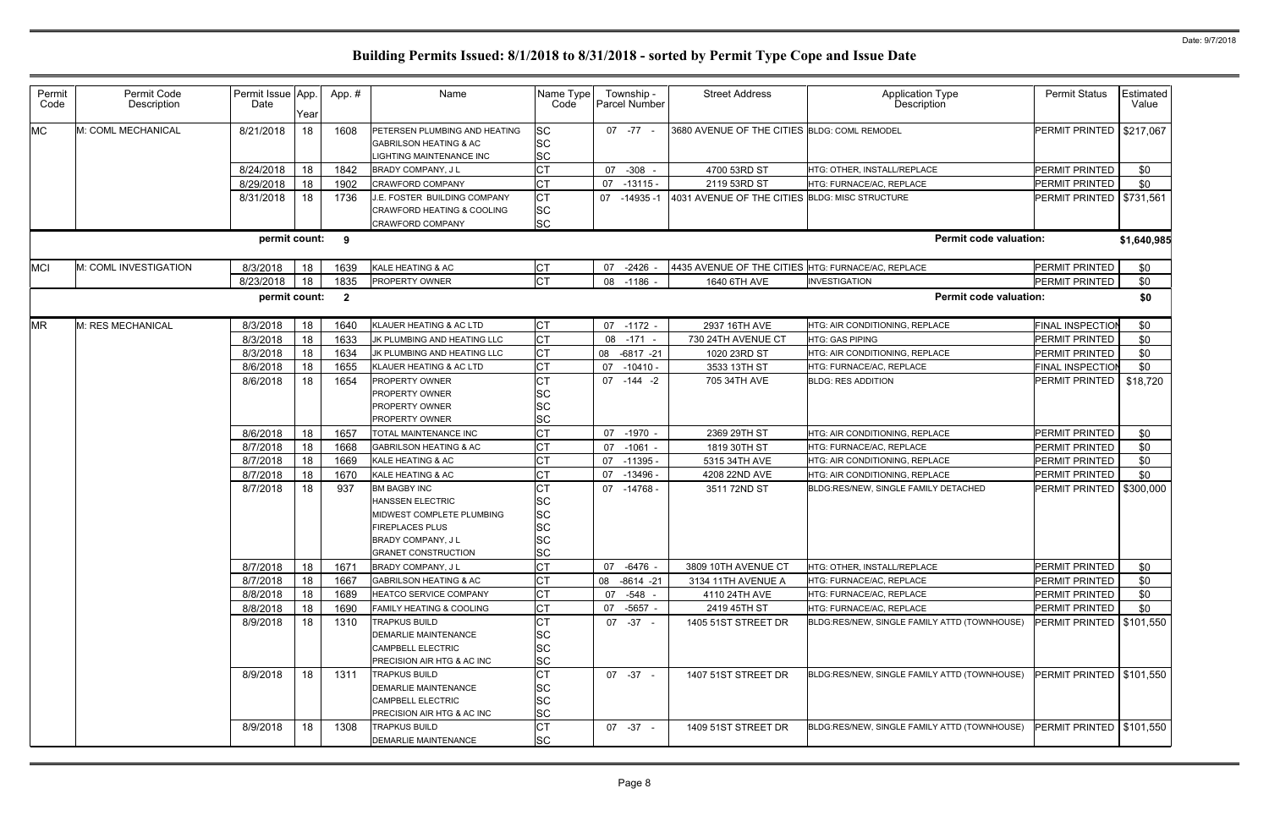| Permit<br>Code | Permit Code<br>Description | Permit Issue App.<br>Date | Year | App.#                   | Name                                                                                                                                                            | Name Type<br>Code                                             | Township -<br><b>Parcel Number</b> | <b>Street Address</b>                              | Application Type<br><b>Description</b>       | <b>Permit Status</b>       | Estimated<br>Value |
|----------------|----------------------------|---------------------------|------|-------------------------|-----------------------------------------------------------------------------------------------------------------------------------------------------------------|---------------------------------------------------------------|------------------------------------|----------------------------------------------------|----------------------------------------------|----------------------------|--------------------|
| <b>MC</b>      | M: COML MECHANICAL         | 8/21/2018                 | 18   | 1608                    | PETERSEN PLUMBING AND HEATING<br><b>GABRILSON HEATING &amp; AC</b><br>IGHTING MAINTENANCE INC                                                                   | <b>SC</b><br><b>SC</b><br><b>SC</b>                           | $07 - 77 -$                        | 3680 AVENUE OF THE CITIES BLDG: COML REMODEL       |                                              | PERMIT PRINTED   \$217,067 |                    |
|                |                            | 8/24/2018                 | 18   | 1842                    | <b>BRADY COMPANY, JL</b>                                                                                                                                        | <b>CT</b>                                                     | 07<br>$-308 -$                     | 4700 53RD ST                                       | HTG: OTHER, INSTALL/REPLACE                  | PERMIT PRINTED             | \$0                |
|                |                            | 8/29/2018                 | 18   | 1902                    | <b>CRAWFORD COMPANY</b>                                                                                                                                         | IСТ                                                           | 07<br>-13115 -                     | 2119 53RD ST                                       | HTG: FURNACE/AC, REPLACE                     | PERMIT PRINTED             | \$0                |
|                |                            | 8/31/2018                 | 18   | 1736                    | J.E. FOSTER BUILDING COMPANY<br>CRAWFORD HEATING & COOLING<br>CRAWFORD COMPANY                                                                                  | <b>CT</b><br><b>SC</b><br><b>SC</b>                           | 07<br>$-14935-1$                   | 4031 AVENUE OF THE CITIES BLDG: MISC STRUCTURE     |                                              | PERMIT PRINTED   \$731,561 |                    |
|                |                            | permit count: 9           |      |                         |                                                                                                                                                                 |                                                               |                                    |                                                    | <b>Permit code valuation:</b>                |                            | \$1,640,985        |
| <b>MCI</b>     | M: COML INVESTIGATION      | 8/3/2018                  | 18   | 1639                    | KALE HEATING & AC                                                                                                                                               | СT                                                            | $-2426$ -<br>07                    | 4435 AVENUE OF THE CITIES HTG: FURNACE/AC, REPLACE |                                              | PERMIT PRINTED             | \$0                |
|                |                            | 8/23/2018                 | 18   | 1835                    | <b>PROPERTY OWNER</b>                                                                                                                                           | <b>CT</b>                                                     | 08 -1186 -                         | 1640 6TH AVE                                       | <b>INVESTIGATION</b>                         | PERMIT PRINTED             | \$0                |
|                |                            | permit count:             |      | $\overline{\mathbf{2}}$ |                                                                                                                                                                 |                                                               |                                    |                                                    | <b>Permit code valuation:</b>                |                            | \$0                |
| <b>MR</b>      | M: RES MECHANICAL          | 8/3/2018                  | 18   | 1640                    | KLAUER HEATING & AC LTD                                                                                                                                         | <b>CT</b>                                                     | 07 -1172 -                         | 2937 16TH AVE                                      | HTG: AIR CONDITIONING, REPLACE               | <b>FINAL INSPECTION</b>    | \$0                |
|                |                            | 8/3/2018                  | 18   | 1633                    | JK PLUMBING AND HEATING LLC                                                                                                                                     | <b>CT</b>                                                     | 08 -171 -                          | 730 24TH AVENUE CT                                 | <b>HTG: GAS PIPING</b>                       | PERMIT PRINTED             | \$0                |
|                |                            | 8/3/2018                  | 18   | 1634                    | JK PLUMBING AND HEATING LLC                                                                                                                                     | <b>CT</b>                                                     | 08<br>$-6817 -21$                  | 1020 23RD ST                                       | HTG: AIR CONDITIONING, REPLACE               | PERMIT PRINTED             | \$0                |
|                |                            | 8/6/2018                  | 18   | 1655                    | KLAUER HEATING & AC LTD                                                                                                                                         | <b>CT</b>                                                     | 07<br>$-10410 -$                   | 3533 13TH ST                                       | HTG: FURNACE/AC, REPLACE                     | <b>FINAL INSPECTION</b>    | \$0                |
|                |                            | 8/6/2018                  | 18   | 1654                    | PROPERTY OWNER<br>PROPERTY OWNER<br>PROPERTY OWNER<br><b>PROPERTY OWNER</b>                                                                                     | <b>CT</b><br><b>SC</b><br>SC<br><b>SC</b>                     | 07 -144 -2                         | 705 34TH AVE                                       | <b>BLDG: RES ADDITION</b>                    | PERMIT PRINTED             | \$18,720           |
|                |                            | 8/6/2018                  | 18   | 1657                    | <b>TOTAL MAINTENANCE INC</b>                                                                                                                                    | <b>CT</b>                                                     | 07 -1970 -                         | 2369 29TH ST                                       | HTG: AIR CONDITIONING, REPLACE               | PERMIT PRINTED             | \$0                |
|                |                            | 8/7/2018                  | 18   | 1668                    | <b>GABRILSON HEATING &amp; AC</b>                                                                                                                               | <b>CT</b>                                                     | 07<br>-1061 -                      | 1819 30TH ST                                       | HTG: FURNACE/AC, REPLACE                     | PERMIT PRINTED             | \$0                |
|                |                            | 8/7/2018                  | 18   | 1669                    | KALE HEATING & AC                                                                                                                                               | lст                                                           | 07<br>$-11395 -$                   | 5315 34TH AVE                                      | HTG: AIR CONDITIONING, REPLACE               | PERMIT PRINTED             | \$0                |
|                |                            | 8/7/2018                  | 18   | 1670                    | KALE HEATING & AC                                                                                                                                               | <b>CT</b>                                                     | $-13496 -$<br>07                   | 4208 22ND AVE                                      | HTG: AIR CONDITIONING, REPLACE               | PERMIT PRINTED             | \$0                |
|                |                            | 8/7/2018                  | 18   | 937                     | <b>BM BAGBY INC</b><br><b>HANSSEN ELECTRIC</b><br>MIDWEST COMPLETE PLUMBING<br><b>FIREPLACES PLUS</b><br><b>BRADY COMPANY, JL</b><br><b>GRANET CONSTRUCTION</b> | <b>SC</b><br><b>SC</b><br><b>SC</b><br><b>SC</b><br><b>SC</b> | 07 -14768                          | 3511 72ND ST                                       | BLDG:RES/NEW, SINGLE FAMILY DETACHED         | PERMIT PRINTED             | \$300,000          |
|                |                            | 8/7/2018                  | 18   | 1671                    | BRADY COMPANY, J L                                                                                                                                              | <b>CT</b>                                                     | $-6476$ -<br>07                    | 3809 10TH AVENUE CT                                | HTG: OTHER, INSTALL/REPLACE                  | PERMIT PRINTED             | \$0                |
|                |                            | 8/7/2018                  | 18   | 1667                    | <b>GABRILSON HEATING &amp; AC</b>                                                                                                                               |                                                               | 08 -8614 -21                       | 3134 11TH AVENUE A                                 | HTG: FURNACE/AC, REPLACE                     | PERMIT PRINTED             | \$0                |
|                |                            | 8/8/2018                  | 18   | 1689                    | HEATCO SERVICE COMPANY                                                                                                                                          | <b>CT</b>                                                     | $-548 -$<br>07                     | 4110 24TH AVE                                      | HTG: FURNACE/AC. REPLACE                     | PERMIT PRINTED             | \$0                |
|                |                            | 8/8/2018                  | 18   | 1690                    | AMILY HEATING & COOLING                                                                                                                                         |                                                               | 07<br>-5657 -                      | 2419 45TH ST                                       | HTG: FURNACE/AC, REPLACE                     | PERMIT PRINTED             | \$0                |
|                |                            | 8/9/2018                  | 18   | 1310                    | <b>TRAPKUS BUILD</b><br><b>DEMARLIE MAINTENANCE</b><br>CAMPBELL ELECTRIC<br>PRECISION AIR HTG & AC INC                                                          | <b>CT</b><br><b>SC</b><br><b>SC</b><br><b>SC</b>              | $07 - 37 -$                        | 1405 51ST STREET DR                                | BLDG:RES/NEW, SINGLE FAMILY ATTD (TOWNHOUSE) | PERMIT PRINTED   \$101,550 |                    |
|                |                            | 8/9/2018                  | 18   | 1311                    | <b>TRAPKUS BUILD</b><br><b>DEMARLIE MAINTENANCE</b><br><b>CAMPBELL ELECTRIC</b><br>PRECISION AIR HTG & AC INC                                                   | IСТ<br><b>SC</b><br><b>SC</b><br><b>SC</b>                    | $07 -37 -$                         | 1407 51ST STREET DR                                | BLDG:RES/NEW, SINGLE FAMILY ATTD (TOWNHOUSE) | PERMIT PRINTED   \$101,550 |                    |
|                |                            | 8/9/2018                  | 18   | 1308                    | <b>TRAPKUS BUILD</b><br>DEMARLIE MAINTENANCE                                                                                                                    | <b>CT</b><br><b>SC</b>                                        | 07 -37 -                           | 1409 51ST STREET DR                                | BLDG:RES/NEW, SINGLE FAMILY ATTD (TOWNHOUSE) | PERMIT PRINTED   \$101,550 |                    |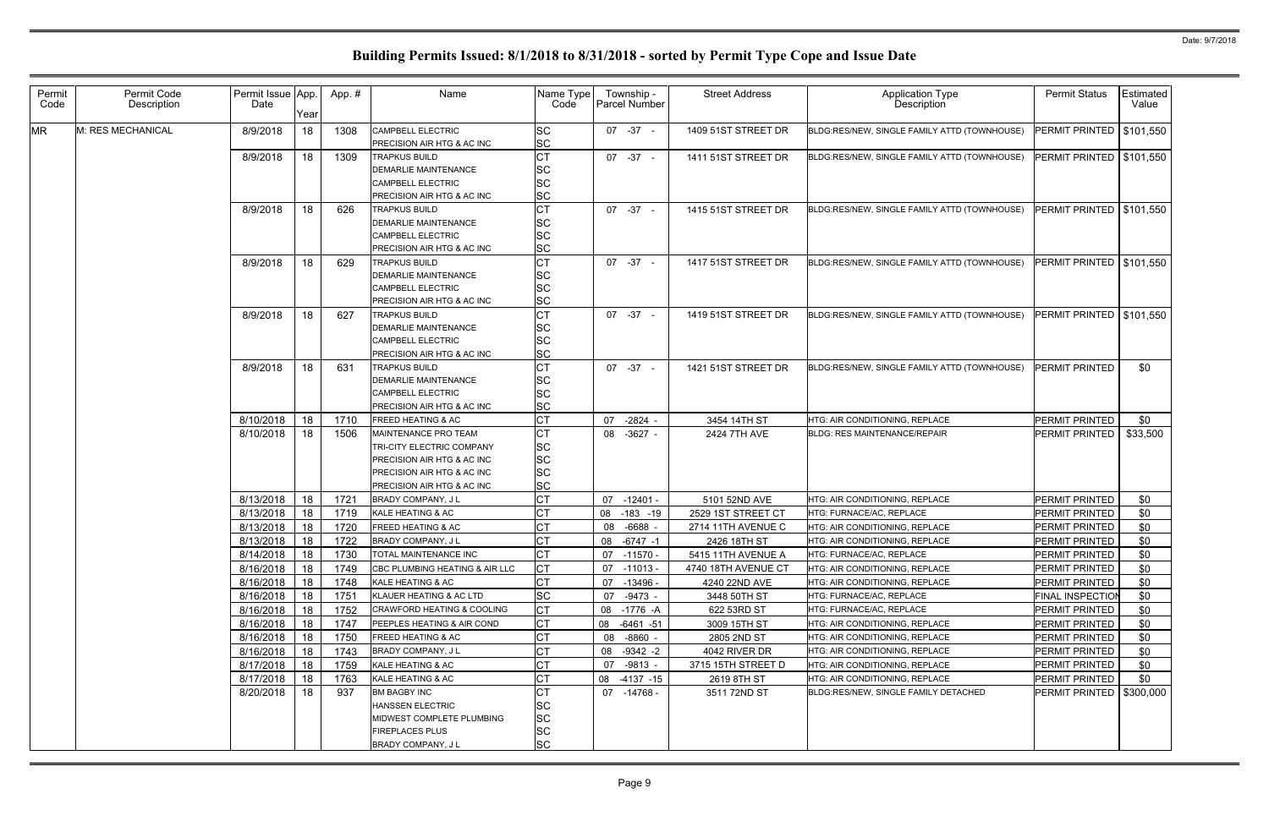| Permit<br>Code | Permit Code<br>Description | Permit Issue App.<br>Date | Year | App.# | Name                                                                                                                                        | Name Type<br>Code                                             | Township -<br>Parcel Number | <b>Street Address</b> | <b>Application Type</b><br>Description       | <b>Permit Status</b>       | Estimated<br>Value |
|----------------|----------------------------|---------------------------|------|-------|---------------------------------------------------------------------------------------------------------------------------------------------|---------------------------------------------------------------|-----------------------------|-----------------------|----------------------------------------------|----------------------------|--------------------|
| <b>MR</b>      | M: RES MECHANICAL          | 8/9/2018                  | 18   | 1308  | <b>CAMPBELL ELECTRIC</b><br>PRECISION AIR HTG & AC INC                                                                                      | <b>SC</b><br><b>SC</b>                                        | $07 -37 -$                  | 1409 51ST STREET DR   | BLDG:RES/NEW, SINGLE FAMILY ATTD (TOWNHOUSE) | PERMIT PRINTED   \$101,550 |                    |
|                |                            | 8/9/2018                  | 18   | 1309  | <b>TRAPKUS BUILD</b><br><b>DEMARLIE MAINTENANCE</b><br>CAMPBELL ELECTRIC<br>PRECISION AIR HTG & AC INC                                      | <b>CT</b><br><b>SC</b><br><b>SC</b><br><b>SC</b>              | $07 - 37 -$                 | 1411 51ST STREET DR   | BLDG:RES/NEW, SINGLE FAMILY ATTD (TOWNHOUSE) | PERMIT PRINTED   \$101,550 |                    |
|                |                            | 8/9/2018                  | 18   | 626   | <b>TRAPKUS BUILD</b><br><b>DEMARLIE MAINTENANCE</b><br>CAMPBELL ELECTRIC<br>PRECISION AIR HTG & AC INC                                      | СT<br><b>SC</b><br><b>SC</b><br><b>SC</b>                     | $07 - 37 -$                 | 1415 51ST STREET DR   | BLDG:RES/NEW, SINGLE FAMILY ATTD (TOWNHOUSE) | <b>PERMIT PRINTED</b>      | \$101,550          |
|                |                            | 8/9/2018                  | 18   | 629   | <b>TRAPKUS BUILD</b><br>DEMARLIE MAINTENANCE<br>CAMPBELL ELECTRIC<br>PRECISION AIR HTG & AC INC                                             | <b>CT</b><br><b>SC</b><br><b>SC</b><br><b>SC</b>              | $07 - 37 -$                 | 1417 51ST STREET DR   | BLDG:RES/NEW, SINGLE FAMILY ATTD (TOWNHOUSE) | <b>PERMIT PRINTED</b>      | \$101,550          |
|                |                            | 8/9/2018                  | 18   | 627   | <b>TRAPKUS BUILD</b><br><b>DEMARLIE MAINTENANCE</b><br>CAMPBELL ELECTRIC<br>PRECISION AIR HTG & AC INC                                      | СT<br><b>SC</b><br><b>SC</b><br><b>SC</b>                     | $07 - 37 -$                 | 1419 51ST STREET DR   | BLDG:RES/NEW, SINGLE FAMILY ATTD (TOWNHOUSE) | <b>PERMIT PRINTED</b>      | \$101,550          |
|                |                            | 8/9/2018                  | 18   | 631   | <b>TRAPKUS BUILD</b><br><b>DEMARLIE MAINTENANCE</b><br>CAMPBELL ELECTRIC<br>PRECISION AIR HTG & AC INC                                      | <b>CT</b><br><b>SC</b><br><b>SC</b><br><b>SC</b>              | $07 -37 -$                  | 1421 51ST STREET DR   | BLDG:RES/NEW, SINGLE FAMILY ATTD (TOWNHOUSE) | <b>PERMIT PRINTED</b>      | \$0                |
|                |                            | 8/10/2018                 | 18   | 1710  | <b>FREED HEATING &amp; AC</b>                                                                                                               | СT                                                            | 07<br>$-2824$               | 3454 14TH ST          | HTG: AIR CONDITIONING, REPLACE               | PERMIT PRINTED             | \$0                |
|                |                            | 8/10/2018                 | 18   | 1506  | MAINTENANCE PRO TEAM<br>TRI-CITY ELECTRIC COMPANY<br>PRECISION AIR HTG & AC INC<br>PRECISION AIR HTG & AC INC<br>PRECISION AIR HTG & AC INC | <b>CT</b><br><b>SC</b><br><b>SC</b><br><b>SC</b><br><b>SC</b> | $-3627 -$<br>08             | 2424 7TH AVE          | <b>BLDG: RES MAINTENANCE/REPAIR</b>          | PERMIT PRINTED             | \$33,500           |
|                |                            | 8/13/2018                 | 18   | 1721  | BRADY COMPANY, J L                                                                                                                          |                                                               | $-12401 -$<br>07            | 5101 52ND AVE         | HTG: AIR CONDITIONING, REPLACE               | PERMIT PRINTED             | \$0                |
|                |                            | 8/13/2018                 | 18   | 1719  | KALE HEATING & AC                                                                                                                           |                                                               | 08<br>$-183 - 19$           | 2529 1ST STREET CT    | HTG: FURNACE/AC, REPLACE                     | PERMIT PRINTED             | \$0                |
|                |                            | 8/13/2018                 | 18   | 1720  | FREED HEATING & AC                                                                                                                          |                                                               | $-6688$<br>08               | 2714 11TH AVENUE C    | HTG: AIR CONDITIONING, REPLACE               | PERMIT PRINTED             | \$0                |
|                |                            | 8/13/2018                 | 18   | 1722  | BRADY COMPANY, J L                                                                                                                          |                                                               | 08<br>-6747 -1              | 2426 18TH ST          | HTG: AIR CONDITIONING, REPLACE               | PERMIT PRINTED             | \$0                |
|                |                            | 8/14/2018                 | 18   | 1730  | TOTAL MAINTENANCE INC                                                                                                                       | <b>CT</b>                                                     | 07 -11570 -                 | 5415 11TH AVENUE A    | HTG: FURNACE/AC, REPLACE                     | PERMIT PRINTED             | \$0                |
|                |                            | 8/16/2018                 | 18   | 1749  | CBC PLUMBING HEATING & AIR LLC                                                                                                              |                                                               | -11013 -<br>07              | 4740 18TH AVENUE CT   | HTG: AIR CONDITIONING, REPLACE               | PERMIT PRINTED             | \$0                |
|                |                            | 8/16/2018                 | 18   | 1748  | KALE HEATING & AC                                                                                                                           |                                                               | -13496 -<br>07              | 4240 22ND AVE         | HTG: AIR CONDITIONING, REPLACE               | PERMIT PRINTED             | \$0                |
|                |                            | 8/16/2018                 | 18   | 1751  | KLAUER HEATING & AC LTD                                                                                                                     | <b>SC</b>                                                     | 07<br>-9473 -               | 3448 50TH ST          | HTG: FURNACE/AC, REPLACE                     | <b>FINAL INSPECTION</b>    | \$0                |
|                |                            | 8/16/2018                 | 18   | 1752  | <b>CRAWFORD HEATING &amp; COOLING</b>                                                                                                       |                                                               | 08<br>-1776 -A              | 622 53RD ST           | HTG: FURNACE/AC. REPLACE                     | PERMIT PRINTED             | \$0                |
|                |                            | 8/16/2018                 | 18   | 1747  | PEEPLES HEATING & AIR COND                                                                                                                  |                                                               | 08<br>$-6461 - 51$          | 3009 15TH ST          | HTG: AIR CONDITIONING, REPLACE               | PERMIT PRINTED             | \$0                |
|                |                            | 8/16/2018                 | 18   | 1750  | <b>FREED HEATING &amp; AC</b>                                                                                                               |                                                               | 08<br>-8860 -               | 2805 2ND ST           | HTG: AIR CONDITIONING, REPLACE               | PERMIT PRINTED             | \$0                |
|                |                            | 8/16/2018                 | 18   | 1743  | BRADY COMPANY, J L                                                                                                                          |                                                               | $-9342 -2$<br>08            | 4042 RIVER DR         | HTG: AIR CONDITIONING, REPLACE               | PERMIT PRINTED             | \$0                |
|                |                            | 8/17/2018                 | 18   | 1759  | KALE HEATING & AC                                                                                                                           |                                                               | 07<br>-9813 -               | 3715 15TH STREET D    | HTG: AIR CONDITIONING, REPLACE               | PERMIT PRINTED             | \$0                |
|                |                            | 8/17/2018                 | 18   | 1763  | KALE HEATING & AC                                                                                                                           |                                                               | $-4137 - 15$<br>08          | 2619 8TH ST           | HTG: AIR CONDITIONING, REPLACE               | PERMIT PRINTED             | \$0                |
|                |                            | 8/20/2018                 | 18   | 937   | <b>BM BAGBY INC</b><br>HANSSEN ELECTRIC<br>MIDWEST COMPLETE PLUMBING<br>FIREPLACES PLUS<br>BRADY COMPANY, J L                               | <b>SC</b><br><b>SC</b><br><b>SC</b><br><b>SC</b>              | 07 -14768 -                 | 3511 72ND ST          | BLDG:RES/NEW, SINGLE FAMILY DETACHED         | PERMIT PRINTED   \$300,000 |                    |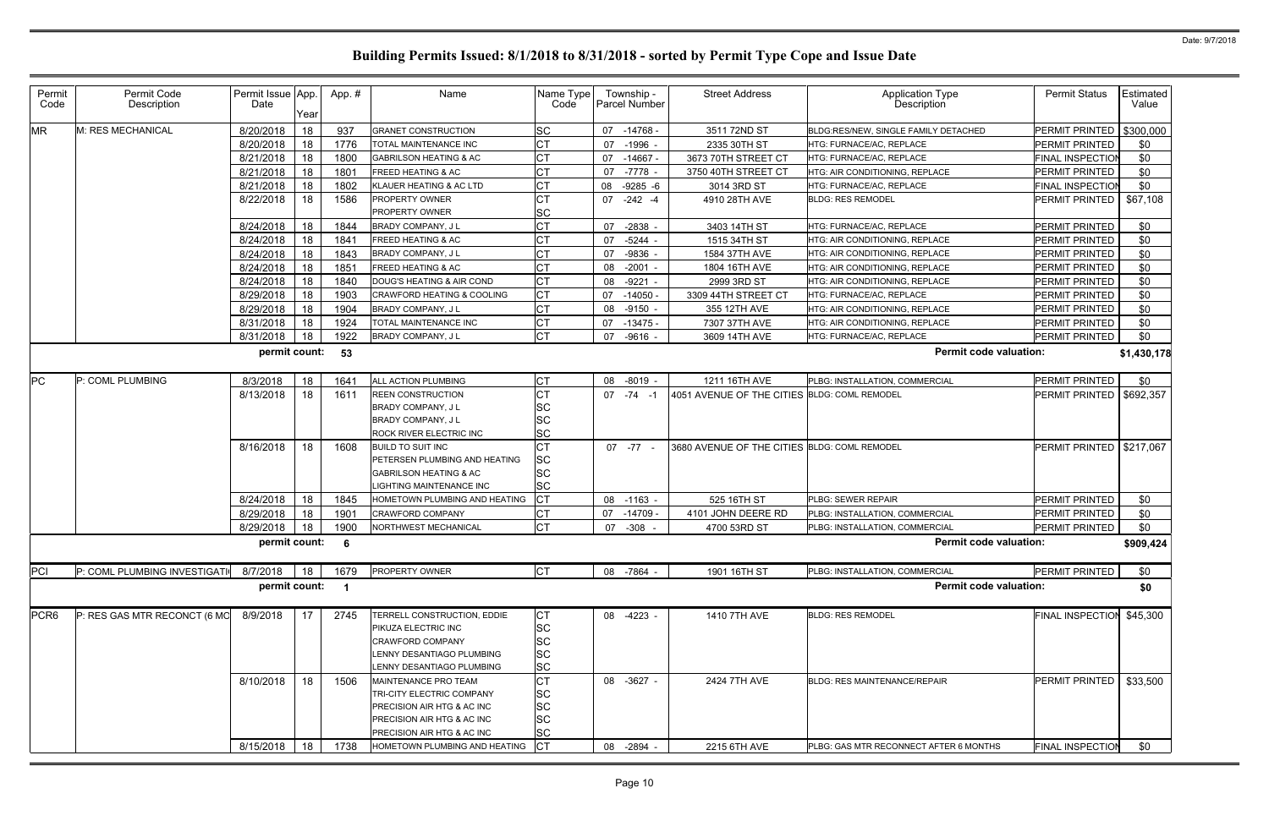| Permit<br>Code   | Permit Code<br>Description   | Permit Issue App.<br>Date | Year | App. #                  | Name                                                     | Name Type<br>Code | Township -<br><b>Parcel Number</b> | <b>Street Address</b>                        | <b>Application Type</b><br>Description | <b>Permit Status</b>       | Estimated<br>Value |
|------------------|------------------------------|---------------------------|------|-------------------------|----------------------------------------------------------|-------------------|------------------------------------|----------------------------------------------|----------------------------------------|----------------------------|--------------------|
| <b>MR</b>        | M: RES MECHANICAL            | 8/20/2018                 | 18   | 937                     | <b>GRANET CONSTRUCTION</b>                               | <b>SC</b>         | 07<br>-14768 -                     | 3511 72ND ST                                 | BLDG:RES/NEW, SINGLE FAMILY DETACHED   | <b>PERMIT PRINTED</b>      | \$300,000          |
|                  |                              | 8/20/2018                 | 18   | 1776                    | TOTAL MAINTENANCE INC                                    | <b>CT</b>         | 07<br>-1996 -                      | 2335 30TH ST                                 | HTG: FURNACE/AC, REPLACE               | PERMIT PRINTED             | \$0                |
|                  |                              | 8/21/2018                 | 18   | 1800                    | <b>GABRILSON HEATING &amp; AC</b>                        | <b>CT</b>         | 07<br>-14667 -                     | 3673 70TH STREET CT                          | HTG: FURNACE/AC, REPLACE               | FINAL INSPECTIO            | \$0                |
|                  |                              | 8/21/2018                 | 18   | 1801                    | <b>FREED HEATING &amp; AC</b>                            | <b>CT</b>         | 07<br>-7778 -                      | 3750 40TH STREET CT                          | HTG: AIR CONDITIONING, REPLACE         | PERMIT PRINTED             | \$0                |
|                  |                              | 8/21/2018                 | 18   | 1802                    | KLAUER HEATING & AC LTD                                  | <b>CT</b>         | 08<br>$-9285 - 6$                  | 3014 3RD ST                                  | HTG: FURNACE/AC, REPLACE               | <b>FINAL INSPECTION</b>    | \$0                |
|                  |                              | 8/22/2018                 | 18   | 1586                    | <b>PROPERTY OWNER</b><br>PROPERTY OWNER                  | <b>CT</b><br>SC   | 07 -242 -4                         | 4910 28TH AVE                                | <b>BLDG: RES REMODEL</b>               | PERMIT PRINTED             | \$67,108           |
|                  |                              | 8/24/2018                 | 18   | 1844                    | BRADY COMPANY, J L                                       | <b>CT</b>         | 07<br>-2838 -                      | 3403 14TH ST                                 | HTG: FURNACE/AC, REPLACE               | PERMIT PRINTED             | \$0                |
|                  |                              | 8/24/2018                 | 18   | 1841                    | <b>FREED HEATING &amp; AC</b>                            | <b>CT</b>         | $-5244$ -<br>07                    | 1515 34TH ST                                 | HTG: AIR CONDITIONING, REPLACE         | PERMIT PRINTED             | \$0                |
|                  |                              | 8/24/2018                 | 18   | 1843                    | BRADY COMPANY, J L                                       | <b>CT</b>         | $-9836$<br>07                      | 1584 37TH AVE                                | HTG: AIR CONDITIONING, REPLACE         | PERMIT PRINTED             | \$0                |
|                  |                              | 8/24/2018                 | 18   | 1851                    | <b>FREED HEATING &amp; AC</b>                            | СT                | $-2001 -$<br>08                    | 1804 16TH AVE                                | HTG: AIR CONDITIONING, REPLACE         | PERMIT PRINTED             | \$0                |
|                  |                              | 8/24/2018                 | 18   | 1840                    | DOUG'S HEATING & AIR COND                                | <b>CT</b>         | -9221 -<br>08                      | 2999 3RD ST                                  | HTG: AIR CONDITIONING, REPLACE         | <b>PERMIT PRINTED</b>      | \$0                |
|                  |                              | 8/29/2018                 | 18   | 1903                    | <b>CRAWFORD HEATING &amp; COOLING</b>                    | <b>CT</b>         | $-14050$<br>07                     | 3309 44TH STREET CT                          | HTG: FURNACE/AC, REPLACE               | PERMIT PRINTED             | \$0                |
|                  |                              | 8/29/2018                 | 18   | 1904                    | BRADY COMPANY, J L                                       | <b>CT</b>         | 08<br>$-9150 -$                    | 355 12TH AVE                                 | HTG: AIR CONDITIONING, REPLACE         | PERMIT PRINTED             | \$0                |
|                  |                              | 8/31/2018                 | 18   | 1924                    | TOTAL MAINTENANCE INC                                    | <b>CT</b>         | -13475 -<br>07                     | 7307 37TH AVE                                | <b>HTG: AIR CONDITIONING, REPLACE</b>  | PERMIT PRINTED             | \$0                |
|                  |                              | 8/31/2018                 | 18   | 1922                    | BRADY COMPANY, J L                                       | <b>CT</b>         | $-9616 -$<br>07                    | 3609 14TH AVE                                | HTG: FURNACE/AC, REPLACE               | PERMIT PRINTED             | \$0                |
|                  |                              | permit count:             |      | 53                      |                                                          |                   |                                    |                                              | <b>Permit code valuation:</b>          |                            | \$1,430,178        |
|                  |                              |                           |      |                         |                                                          |                   |                                    |                                              |                                        |                            |                    |
| <b>PC</b>        | P: COML PLUMBING             | 8/3/2018                  | 18   | 1641                    | ALL ACTION PLUMBING                                      | IСТ               | 08 -8019 -                         | 1211 16TH AVE                                | PLBG: INSTALLATION, COMMERCIAL         | PERMIT PRINTED             | \$0                |
|                  |                              | 8/13/2018                 | 18   | 1611                    | <b>REEN CONSTRUCTION</b>                                 | <b>CT</b>         | $07 - 74 - 1$                      | 4051 AVENUE OF THE CITIES BLDG: COML REMODEL |                                        | PERMIT PRINTED             | \$692,357          |
|                  |                              |                           |      |                         | BRADY COMPANY, J L                                       | SC                |                                    |                                              |                                        |                            |                    |
|                  |                              |                           |      |                         | BRADY COMPANY, J L                                       | SC                |                                    |                                              |                                        |                            |                    |
|                  |                              |                           |      |                         | ROCK RIVER ELECTRIC INC                                  | <b>SC</b>         |                                    |                                              |                                        |                            |                    |
|                  |                              | 8/16/2018                 | 18   | 1608                    | <b>BUILD TO SUIT INC</b>                                 | <b>CT</b>         | $07 - 77 -$                        | 3680 AVENUE OF THE CITIES BLDG: COML REMODEL |                                        | PERMIT PRINTED   \$217,067 |                    |
|                  |                              |                           |      |                         | PETERSEN PLUMBING AND HEATING                            | SC                |                                    |                                              |                                        |                            |                    |
|                  |                              |                           |      |                         | <b>GABRILSON HEATING &amp; AC</b>                        | SC<br>SC          |                                    |                                              |                                        |                            |                    |
|                  |                              | 8/24/2018                 | 18   | 1845                    | IGHTING MAINTENANCE INC<br>HOMETOWN PLUMBING AND HEATING | Iст               | 08 -1163 -                         | 525 16TH ST                                  | PLBG: SEWER REPAIR                     | PERMIT PRINTED             | \$0                |
|                  |                              | 8/29/2018                 | 18   | 1901                    | CRAWFORD COMPANY                                         | <b>CT</b>         | 07 -14709                          | 4101 JOHN DEERE RD                           | PLBG: INSTALLATION, COMMERCIAL         | PERMIT PRINTED             | \$0                |
|                  |                              | 8/29/2018                 | 18   | 1900                    | NORTHWEST MECHANICAL                                     | <b>CT</b>         | -308<br>07                         | 4700 53RD ST                                 | PLBG: INSTALLATION, COMMERCIAL         | <b>PERMIT PRINTED</b>      | \$0                |
|                  |                              | permit count: 6           |      |                         |                                                          |                   |                                    |                                              | <b>Permit code valuation:</b>          |                            | \$909,424          |
|                  |                              |                           |      |                         |                                                          |                   |                                    |                                              |                                        |                            |                    |
| PCI              | P: COML PLUMBING INVESTIGATI | 8/7/2018                  | 18   | 1679                    | <b>PROPERTY OWNER</b>                                    | <b>CT</b>         | 08 -7864 -                         | 1901 16TH ST                                 | PLBG: INSTALLATION, COMMERCIAL         | PERMIT PRINTED             | \$0                |
|                  |                              | permit count:             |      | $\overline{\mathbf{1}}$ |                                                          |                   |                                    |                                              | <b>Permit code valuation:</b>          |                            | \$0                |
| PCR <sub>6</sub> | P: RES GAS MTR RECONCT (6 MO | 8/9/2018                  | 17   | 2745                    | TERRELL CONSTRUCTION, EDDIE                              | <b>CT</b>         | 08 -4223 -                         | 1410 7TH AVE                                 | <b>BLDG: RES REMODEL</b>               | FINAL INSPECTION           | \$45,300           |
|                  |                              |                           |      |                         | PIKUZA ELECTRIC INC                                      | <b>SC</b>         |                                    |                                              |                                        |                            |                    |
|                  |                              |                           |      |                         | <b>CRAWFORD COMPANY</b>                                  | SC                |                                    |                                              |                                        |                            |                    |
|                  |                              |                           |      |                         | LENNY DESANTIAGO PLUMBING                                | <b>SC</b>         |                                    |                                              |                                        |                            |                    |
|                  |                              |                           |      |                         | LENNY DESANTIAGO PLUMBING                                | <b>SC</b>         |                                    |                                              |                                        |                            |                    |
|                  |                              | 8/10/2018                 | 18   | 1506                    | MAINTENANCE PRO TEAM                                     | <b>CT</b>         | 08 -3627 -                         | 2424 7TH AVE                                 | <b>BLDG: RES MAINTENANCE/REPAIR</b>    | PERMIT PRINTED             | \$33,500           |
|                  |                              |                           |      |                         | TRI-CITY ELECTRIC COMPANY                                | SC                |                                    |                                              |                                        |                            |                    |
|                  |                              |                           |      |                         | PRECISION AIR HTG & AC INC                               | SC                |                                    |                                              |                                        |                            |                    |
|                  |                              |                           |      |                         | PRECISION AIR HTG & AC INC                               | <b>SC</b>         |                                    |                                              |                                        |                            |                    |
|                  |                              |                           |      |                         | PRECISION AIR HTG & AC INC                               | <b>SC</b>         |                                    |                                              |                                        |                            |                    |
|                  |                              | 8/15/2018                 | 18   | 1738                    | HOMETOWN PLUMBING AND HEATING                            | <b>CT</b>         | -2894 -<br>08                      | 2215 6TH AVE                                 | PLBG: GAS MTR RECONNECT AFTER 6 MONTHS | <b>FINAL INSPECTIOI</b>    | \$0                |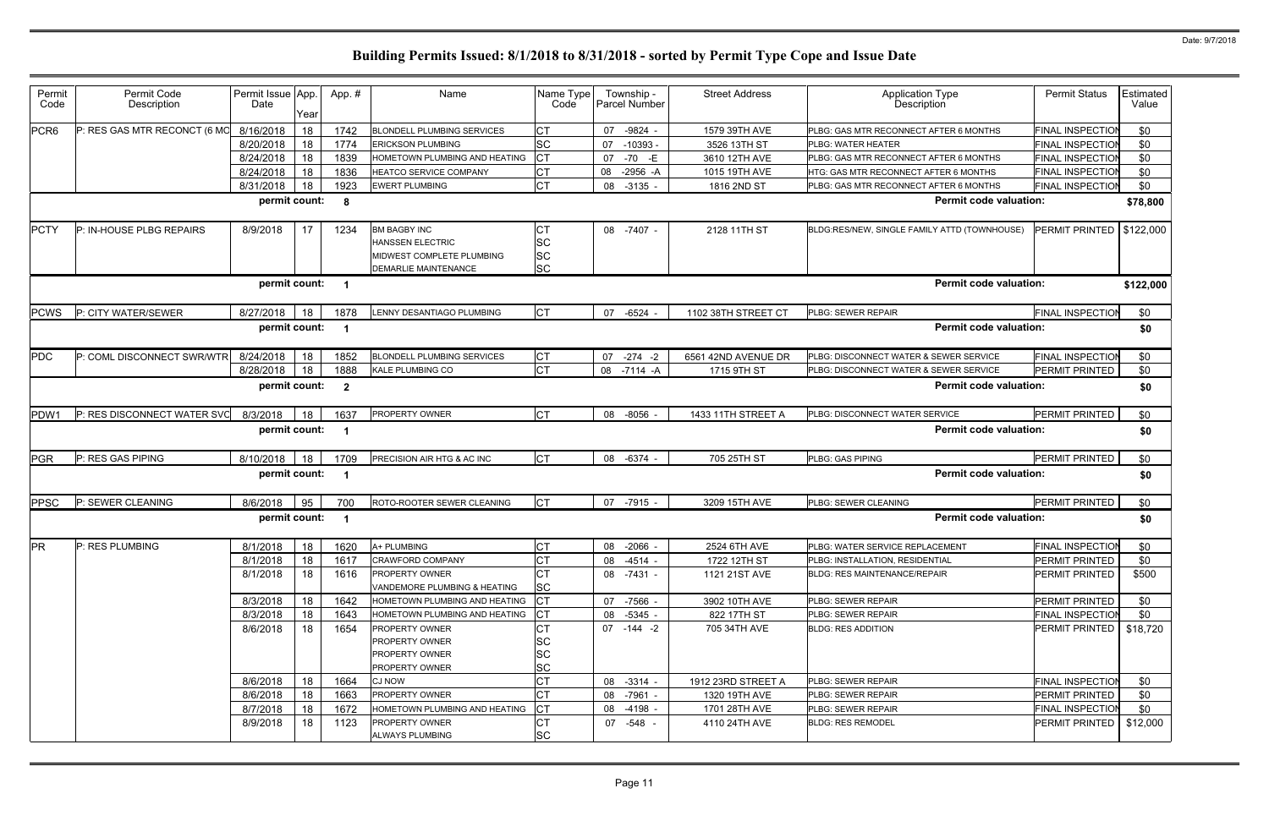| Permit<br>Code   | Permit Code<br>Description                               | Permit Issue App.<br>Date | Year | App. #                  | Name                                                                                                       | Name Type<br>Code                  | Township -<br><b>Parcel Number</b> | <b>Street Address</b> | <b>Application Type</b><br>Description       | <b>Permit Status</b>    | Estimated<br>Value |
|------------------|----------------------------------------------------------|---------------------------|------|-------------------------|------------------------------------------------------------------------------------------------------------|------------------------------------|------------------------------------|-----------------------|----------------------------------------------|-------------------------|--------------------|
| PCR <sub>6</sub> | P: RES GAS MTR RECONCT (6 MO                             | 8/16/2018                 | 18   | 1742                    | <b>BLONDELL PLUMBING SERVICES</b>                                                                          | <b>CT</b>                          | -9824 -<br>07                      | 1579 39TH AVE         | PLBG: GAS MTR RECONNECT AFTER 6 MONTHS       | <b>FINAL INSPECTION</b> | \$0                |
|                  |                                                          | 8/20/2018                 | 18   | 1774                    | <b>ERICKSON PLUMBING</b>                                                                                   | SC                                 | $-10393 -$<br>07                   | 3526 13TH ST          | PLBG: WATER HEATER                           | FINAL INSPECTIOI        | \$0                |
|                  |                                                          | 8/24/2018                 | 18   | 1839                    | HOMETOWN PLUMBING AND HEATING                                                                              | <b>CT</b>                          | 07<br>-70 -E                       | 3610 12TH AVE         | PLBG: GAS MTR RECONNECT AFTER 6 MONTHS       | <b>FINAL INSPECTION</b> | \$0                |
|                  |                                                          | 8/24/2018                 | 18   | 1836                    | <b>HEATCO SERVICE COMPANY</b>                                                                              | <b>CT</b>                          | $-2956 - A$<br>08                  | 1015 19TH AVE         | HTG: GAS MTR RECONNECT AFTER 6 MONTHS        | <b>FINAL INSPECTIOI</b> | \$0                |
|                  |                                                          | 8/31/2018                 | 18   | 1923                    | <b>EWERT PLUMBING</b>                                                                                      | <b>CT</b>                          | $-3135 -$<br>08                    | 1816 2ND ST           | PLBG: GAS MTR RECONNECT AFTER 6 MONTHS       | <b>FINAL INSPECTION</b> | \$0                |
|                  |                                                          | permit count:             |      | 8                       |                                                                                                            |                                    |                                    |                       | <b>Permit code valuation:</b>                |                         | \$78,800           |
| PCTY             | P: IN-HOUSE PLBG REPAIRS                                 | 8/9/2018                  | 17   | 1234                    | <b>BM BAGBY INC</b><br><b>HANSSEN ELECTRIC</b><br>MIDWEST COMPLETE PLUMBING<br><b>DEMARLIE MAINTENANCE</b> | СT<br>SC<br><b>SC</b><br><b>SC</b> | 08 -7407 -                         | 2128 11TH ST          | BLDG:RES/NEW, SINGLE FAMILY ATTD (TOWNHOUSE) | PERMIT PRINTED          | \$122,000          |
|                  |                                                          | permit count:             |      | $\overline{\mathbf{1}}$ |                                                                                                            |                                    |                                    |                       | <b>Permit code valuation:</b>                |                         | \$122,000          |
| <b>PCWS</b>      | P: CITY WATER/SEWER                                      | 8/27/2018                 | 18   | 1878                    | LENNY DESANTIAGO PLUMBING                                                                                  | lст                                | $-6524 -$<br>07                    | 1102 38TH STREET CT   | PLBG: SEWER REPAIR                           | <b>FINAL INSPECTIO</b>  | \$0                |
|                  |                                                          | permit count:             |      | $\overline{\mathbf{1}}$ |                                                                                                            |                                    |                                    |                       | <b>Permit code valuation:</b>                |                         | \$0                |
| PDC              | P: COML DISCONNECT SWR/WTR                               | 8/24/2018                 | 18   | 1852                    | <b>BLONDELL PLUMBING SERVICES</b>                                                                          | СT                                 | $-274 - 2$<br>07                   | 6561 42ND AVENUE DR   | PLBG: DISCONNECT WATER & SEWER SERVICE       | <b>FINAL INSPECTIO</b>  | \$0                |
|                  |                                                          | 8/28/2018                 | 18   | 1888                    | KALE PLUMBING CO                                                                                           | <b>CT</b>                          | 08 -7114 -A                        | 1715 9TH ST           | PLBG: DISCONNECT WATER & SEWER SERVICE       | PERMIT PRINTED          | \$0                |
|                  | permit count:<br>P: RES DISCONNECT WATER SVC<br>8/3/2018 |                           |      | $\overline{\mathbf{2}}$ |                                                                                                            |                                    |                                    |                       | <b>Permit code valuation:</b>                |                         | \$0                |
| PDW1             |                                                          |                           | 18   | 1637                    | PROPERTY OWNER                                                                                             | <b>CT</b>                          | 08 -8056 -                         | 1433 11TH STREET A    | PLBG: DISCONNECT WATER SERVICE               | PERMIT PRINTED          | \$0                |
|                  |                                                          | permit count:             |      | -1                      |                                                                                                            |                                    |                                    |                       | <b>Permit code valuation:</b>                |                         | \$0                |
| <b>PGR</b>       | P: RES GAS PIPING                                        | 8/10/2018                 | 18   | 1709                    | PRECISION AIR HTG & AC INC                                                                                 | <b>CT</b>                          | 08 -6374 -                         | 705 25TH ST           | PLBG: GAS PIPING                             | PERMIT PRINTED          | \$0                |
|                  |                                                          | permit count:             |      | -1                      |                                                                                                            |                                    |                                    |                       | <b>Permit code valuation:</b>                |                         | \$0                |
| PPSC             | P: SEWER CLEANING                                        | 8/6/2018                  | 95   | 700                     | ROTO-ROOTER SEWER CLEANING                                                                                 | <b>CT</b>                          | 07 -7915 -                         | 3209 15TH AVE         | PLBG: SEWER CLEANING                         | <b>PERMIT PRINTED</b>   | \$0                |
|                  |                                                          | permit count:             |      | $\overline{\mathbf{1}}$ |                                                                                                            |                                    |                                    |                       | <b>Permit code valuation:</b>                |                         | \$0                |
| <b>PR</b>        | P: RES PLUMBING                                          | 8/1/2018 18               |      | 1620                    | A+ PLUMBING                                                                                                | <b>CT</b>                          | 08 -2066 -                         | 2524 6TH AVE          | PLBG: WATER SERVICE REPLACEMENT              | FINAL INSPECTION        | \$0                |
|                  |                                                          | 8/1/2018                  | 18   | 1617                    | <b>CRAWFORD COMPANY</b>                                                                                    | <b>CT</b>                          | 08 -4514 -                         | 1722 12TH ST          | PLBG: INSTALLATION, RESIDENTIAL              | PERMIT PRINTED          | \$0                |
|                  |                                                          | 8/1/2018                  | 18   | 1616                    | <b>PROPERTY OWNER</b><br>VANDEMORE PLUMBING & HEATING                                                      | <b>CT</b><br><b>SC</b>             | 08 -7431 -                         | 1121 21ST AVE         | <b>BLDG: RES MAINTENANCE/REPAIR</b>          | <b>PERMIT PRINTED</b>   | \$500              |
|                  |                                                          | 8/3/2018                  | 18   | 1642                    | HOMETOWN PLUMBING AND HEATING                                                                              | <b>ICT</b>                         | 07 -7566 -                         | 3902 10TH AVE         | PLBG: SEWER REPAIR                           | PERMIT PRINTED          | \$0                |
|                  |                                                          | 8/3/2018                  | 18   | 1643                    | HOMETOWN PLUMBING AND HEATING                                                                              | $ _{\rm CT}$                       | 08 -5345 -                         | 822 17TH ST           | PLBG: SEWER REPAIR                           | FINAL INSPECTION        | \$0                |
|                  |                                                          | 8/6/2018                  | 18   | 1654                    | <b>PROPERTY OWNER</b><br><b>PROPERTY OWNER</b><br>PROPERTY OWNER<br>PROPERTY OWNER                         | CT<br>SC<br>SC<br>SC               | 07 -144 -2                         | 705 34TH AVE          | <b>BLDG: RES ADDITION</b>                    | PERMIT PRINTED          | \$18,720           |
|                  |                                                          | 8/6/2018                  | 18   | 1664                    | <b>CJ NOW</b>                                                                                              | <b>CT</b>                          | 08 -3314 -                         | 1912 23RD STREET A    | PLBG: SEWER REPAIR                           | <b>FINAL INSPECTION</b> | \$0                |
|                  |                                                          | 8/6/2018                  | 18   | 1663                    | PROPERTY OWNER                                                                                             | <b>CT</b>                          | 08 -7961 -                         | 1320 19TH AVE         | PLBG: SEWER REPAIR                           | PERMIT PRINTED          | \$0                |
|                  |                                                          | 8/7/2018                  | 18   | 1672                    | HOMETOWN PLUMBING AND HEATING                                                                              |                                    | 08 -4198 -                         | 1701 28TH AVE         | PLBG: SEWER REPAIR                           | <b>FINAL INSPECTION</b> | \$0                |
|                  |                                                          | 8/9/2018                  | 18   | 1123                    | <b>PROPERTY OWNER</b><br>ALWAYS PLUMBING                                                                   | <b>CT</b><br><b>SC</b>             | 07 -548 -                          | 4110 24TH AVE         | <b>BLDG: RES REMODEL</b>                     | PERMIT PRINTED          | \$12,000           |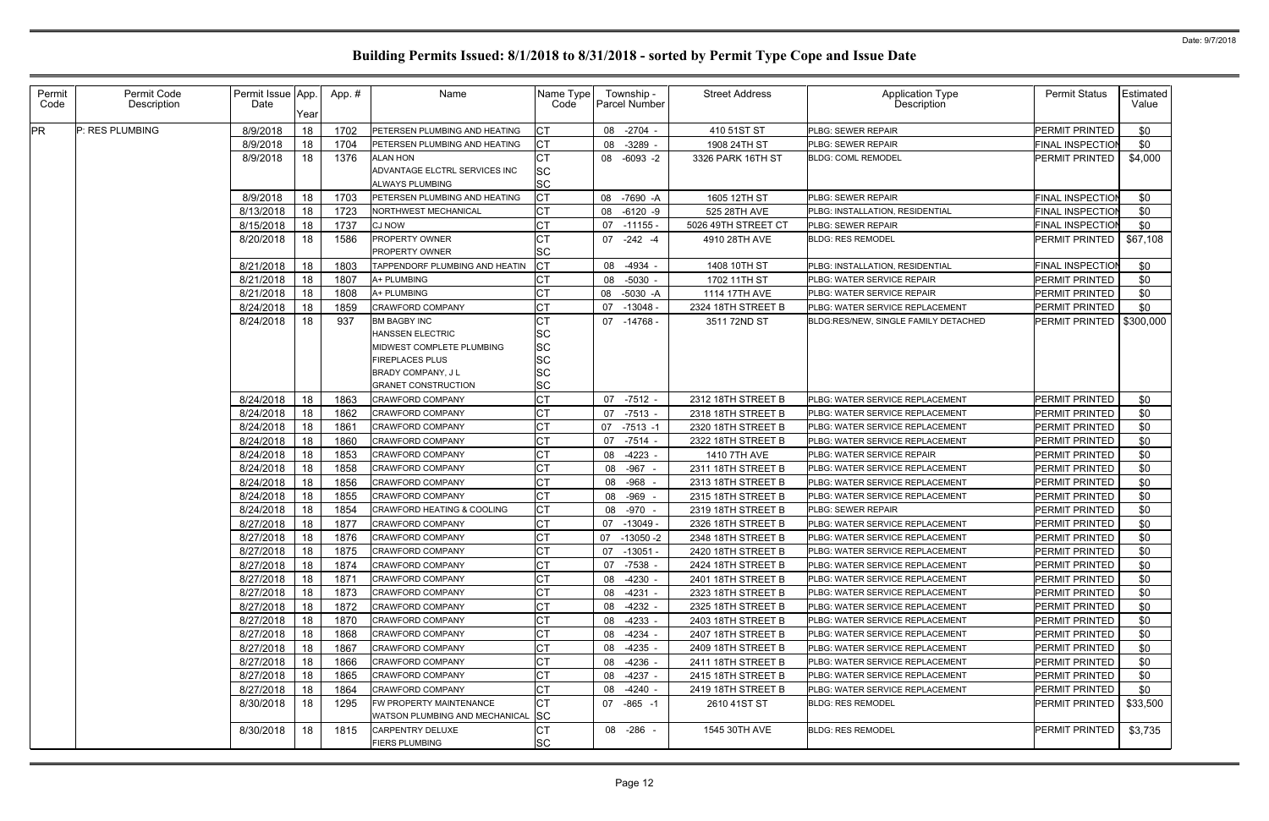| Permit<br>Code | Permit Code<br>Description | Permit Issue App.<br>Date | Year | App.# | Name                                                                        | Name Type<br>Code                   | Township -<br>Parcel Number | <b>Street Address</b> | <b>Application Type</b><br><b>Description</b> | <b>Permit Status</b>    | Estimated<br>Value |
|----------------|----------------------------|---------------------------|------|-------|-----------------------------------------------------------------------------|-------------------------------------|-----------------------------|-----------------------|-----------------------------------------------|-------------------------|--------------------|
| <b>PR</b>      | P: RES PLUMBING            | 8/9/2018                  | 18   | 1702  | PETERSEN PLUMBING AND HEATING                                               |                                     | $-2704$<br>08               | 410 51ST ST           | PLBG: SEWER REPAIR                            | PERMIT PRINTED          | \$0                |
|                |                            | 8/9/2018                  | 18   | 1704  | PETERSEN PLUMBING AND HEATING                                               |                                     | $-3289 -$<br>08             | 1908 24TH ST          | PLBG: SEWER REPAIR                            | FINAL INSPECTIO         | \$0                |
|                |                            | 8/9/2018                  | 18   | 1376  | ALAN HON<br>ADVANTAGE ELCTRL SERVICES INC<br><b>ALWAYS PLUMBING</b>         | <b>CT</b><br><b>SC</b><br><b>SC</b> | 08 -6093 -2                 | 3326 PARK 16TH ST     | <b>BLDG: COML REMODEL</b>                     | PERMIT PRINTED          | \$4,000            |
|                |                            | 8/9/2018                  | 18   | 1703  | PETERSEN PLUMBING AND HEATING                                               | <b>CT</b>                           | 08<br>-7690 -A              | 1605 12TH ST          | PLBG: SEWER REPAIR                            | <b>FINAL INSPECTION</b> | \$0                |
|                |                            | 8/13/2018                 | 18   | 1723  | NORTHWEST MECHANICAL                                                        |                                     | 08<br>$-6120 -9$            | 525 28TH AVE          | PLBG: INSTALLATION, RESIDENTIAL               | FINAL INSPECTION        | \$0                |
|                |                            | 8/15/2018                 | 18   | 1737  | <b>CJ NOW</b>                                                               |                                     | 07<br>-11155 -              | 5026 49TH STREET CT   | PLBG: SEWER REPAIR                            | <b>FINAL INSPECTIOI</b> | \$0                |
|                |                            | 8/20/2018                 | 18   | 1586  | PROPERTY OWNER<br>PROPERTY OWNER                                            | <b>SC</b>                           | 07 -242 -4                  | 4910 28TH AVE         | <b>BLDG: RES REMODEL</b>                      | PERMIT PRINTED          | \$67,108           |
|                |                            | 8/21/2018                 | 18   | 1803  | TAPPENDORF PLUMBING AND HEATIN                                              |                                     | $-4934$<br>08               | 1408 10TH ST          | PLBG: INSTALLATION, RESIDENTIAL               | <b>FINAL INSPECTION</b> | \$0                |
|                |                            | 8/21/2018                 | 18   | 1807  | A+ PLUMBING                                                                 |                                     | 08<br>-5030                 | 1702 11TH ST          | PLBG: WATER SERVICE REPAIR                    | PERMIT PRINTED          | \$0                |
|                |                            | 8/21/2018                 | 18   | 1808  | A+ PLUMBING                                                                 |                                     | $-5030 - A$<br>08           | 1114 17TH AVE         | PLBG: WATER SERVICE REPAIR                    | PERMIT PRINTED          | \$0                |
|                |                            | 8/24/2018                 | 18   | 1859  | <b>CRAWFORD COMPANY</b>                                                     |                                     | $-13048 -$<br>07            | 2324 18TH STREET B    | PLBG: WATER SERVICE REPLACEMENT               | PERMIT PRINTED          | \$0                |
|                |                            | 8/24/2018                 | 18   | 937   | <b>BM BAGBY INC</b><br><b>HANSSEN ELECTRIC</b><br>MIDWEST COMPLETE PLUMBING | <b>SC</b><br><b>SC</b>              | 07<br>-14768 -              | 3511 72ND ST          | BLDG:RES/NEW, SINGLE FAMILY DETACHED          | PERMIT PRINTED          | \$300,000          |
|                |                            |                           |      |       | FIREPLACES PLUS<br><b>BRADY COMPANY, JL</b><br><b>GRANET CONSTRUCTION</b>   | <b>SC</b><br><b>SC</b><br><b>SC</b> |                             |                       |                                               |                         |                    |
|                |                            | 8/24/2018                 | 18   | 1863  | <b>CRAWFORD COMPANY</b>                                                     | СT                                  | $-7512 -$<br>07             | 2312 18TH STREET B    | PLBG: WATER SERVICE REPLACEMENT               | PERMIT PRINTED          | \$0                |
|                |                            | 8/24/2018                 | 18   | 1862  | <b>CRAWFORD COMPANY</b>                                                     |                                     | 07<br>$-7513 -$             | 2318 18TH STREET B    | PLBG: WATER SERVICE REPLACEMENT               | PERMIT PRINTED          | \$0                |
|                |                            | 8/24/2018                 | 18   | 1861  | <b>CRAWFORD COMPANY</b>                                                     |                                     | $-7513 - 1$<br>07           | 2320 18TH STREET B    | PLBG: WATER SERVICE REPLACEMENT               | PERMIT PRINTED          | \$0                |
|                |                            | 8/24/2018                 | 18   | 1860  | CRAWFORD COMPANY                                                            |                                     | 07<br>$-7514$               | 2322 18TH STREET B    | PLBG: WATER SERVICE REPLACEMENT               | PERMIT PRINTED          | \$0                |
|                |                            | 8/24/2018                 | 18   | 1853  | <b>CRAWFORD COMPANY</b>                                                     |                                     | 08<br>$-4223$               | 1410 7TH AVE          | PLBG: WATER SERVICE REPAIR                    | PERMIT PRINTED          | \$0                |
|                |                            | 8/24/2018                 | 18   | 1858  | <b>CRAWFORD COMPANY</b>                                                     |                                     | -967<br>08                  | 2311 18TH STREET B    | PLBG: WATER SERVICE REPLACEMENT               | PERMIT PRINTED          | \$0                |
|                |                            | 8/24/2018                 | 18   | 1856  | <b>CRAWFORD COMPANY</b>                                                     |                                     | 08 - 968                    | 2313 18TH STREET B    | PLBG: WATER SERVICE REPLACEMENT               | PERMIT PRINTED          | \$0                |
|                |                            | 8/24/2018                 | 18   | 1855  | <b>CRAWFORD COMPANY</b>                                                     |                                     | 08<br>-969                  | 2315 18TH STREET B    | PLBG: WATER SERVICE REPLACEMENT               | PERMIT PRINTED          | \$0                |
|                |                            | 8/24/2018                 | 18   | 1854  | CRAWFORD HEATING & COOLING                                                  |                                     | 08<br>-970                  | 2319 18TH STREET B    | PLBG: SEWER REPAIR                            | PERMIT PRINTED          | \$0                |
|                |                            | 8/27/2018                 | 18   | 1877  | <b>CRAWFORD COMPANY</b>                                                     |                                     | $-13049 -$<br>07            | 2326 18TH STREET B    | PLBG: WATER SERVICE REPLACEMENT               | PERMIT PRINTED          | \$0                |
|                |                            | 8/27/2018                 | 18   | 1876  | <b>CRAWFORD COMPANY</b>                                                     |                                     | 07<br>-13050 -2             | 2348 18TH STREET B    | PLBG: WATER SERVICE REPLACEMENT               | PERMIT PRINTED          | \$0                |
|                |                            | 8/27/2018                 | 18   | 1875  | <b>CRAWFORD COMPANY</b>                                                     | IСT                                 | $07 - 13051 -$              | 2420 18TH STREET B    | PLBG: WATER SERVICE REPLACEMENT               | <b>PERMIT PRINTED</b>   | \$0                |
|                |                            | 8/27/2018                 | 18   | 1874  | CRAWFORD COMPANY                                                            |                                     | 07<br>-7538 -               | 2424 18TH STREET B    | PLBG: WATER SERVICE REPLACEMENT               | PERMIT PRINTED          | \$0                |
|                |                            | 8/27/2018                 | 18   | 1871  | <b>CRAWFORD COMPANY</b>                                                     |                                     | 08<br>-4230 -               | 2401 18TH STREET B    | PLBG: WATER SERVICE REPLACEMENT               | PERMIT PRINTED          | \$0                |
|                |                            | 8/27/2018                 | 18   | 1873  | <b>CRAWFORD COMPANY</b>                                                     |                                     | -4231 -<br>08               | 2323 18TH STREET B    | PLBG: WATER SERVICE REPLACEMENT               | PERMIT PRINTED          | \$0                |
|                |                            | 8/27/2018                 | 18   | 1872  | <b>CRAWFORD COMPANY</b>                                                     |                                     | -4232 -<br>08               | 2325 18TH STREET B    | PLBG: WATER SERVICE REPLACEMENT               | PERMIT PRINTED          | \$0                |
|                |                            | 8/27/2018                 | 18   | 1870  | <b>CRAWFORD COMPANY</b>                                                     |                                     | -4233 -<br>08               | 2403 18TH STREET B    | PLBG: WATER SERVICE REPLACEMENT               | PERMIT PRINTED          | \$0                |
|                |                            | 8/27/2018                 | 18   | 1868  | <b>CRAWFORD COMPANY</b>                                                     |                                     | 08<br>-4234 -               | 2407 18TH STREET B    | PLBG: WATER SERVICE REPLACEMENT               | PERMIT PRINTED          | \$0                |
|                |                            | 8/27/2018                 | 18   | 1867  | <b>CRAWFORD COMPANY</b>                                                     |                                     | 08<br>-4235 -               | 2409 18TH STREET B    | PLBG: WATER SERVICE REPLACEMENT               | PERMIT PRINTED          | \$0                |
|                |                            | 8/27/2018                 | 18   | 1866  | <b>CRAWFORD COMPANY</b>                                                     |                                     | 08<br>-4236 -               | 2411 18TH STREET B    | PLBG: WATER SERVICE REPLACEMENT               | PERMIT PRINTED          | \$0                |
|                |                            | 8/27/2018                 | 18   | 1865  | <b>CRAWFORD COMPANY</b>                                                     |                                     | 08<br>-4237 -               | 2415 18TH STREET B    | PLBG: WATER SERVICE REPLACEMENT               | PERMIT PRINTED          | \$0                |
|                |                            | 8/27/2018                 | 18   | 1864  | <b>CRAWFORD COMPANY</b>                                                     |                                     | -4240 -<br>08               | 2419 18TH STREET B    | PLBG: WATER SERVICE REPLACEMENT               | PERMIT PRINTED          | \$0                |
|                |                            | 8/30/2018                 | 18   | 1295  | FW PROPERTY MAINTENANCE<br>WATSON PLUMBING AND MECHANICAL SC                |                                     | 07 -865 -1                  | 2610 41ST ST          | <b>BLDG: RES REMODEL</b>                      | PERMIT PRINTED          | \$33,500           |
|                |                            | 8/30/2018                 | 18   | 1815  | <b>CARPENTRY DELUXE</b><br><b>FIERS PLUMBING</b>                            | IСТ<br><b>SC</b>                    | 08 -286 -                   | 1545 30TH AVE         | <b>BLDG: RES REMODEL</b>                      | PERMIT PRINTED          | \$3,735            |